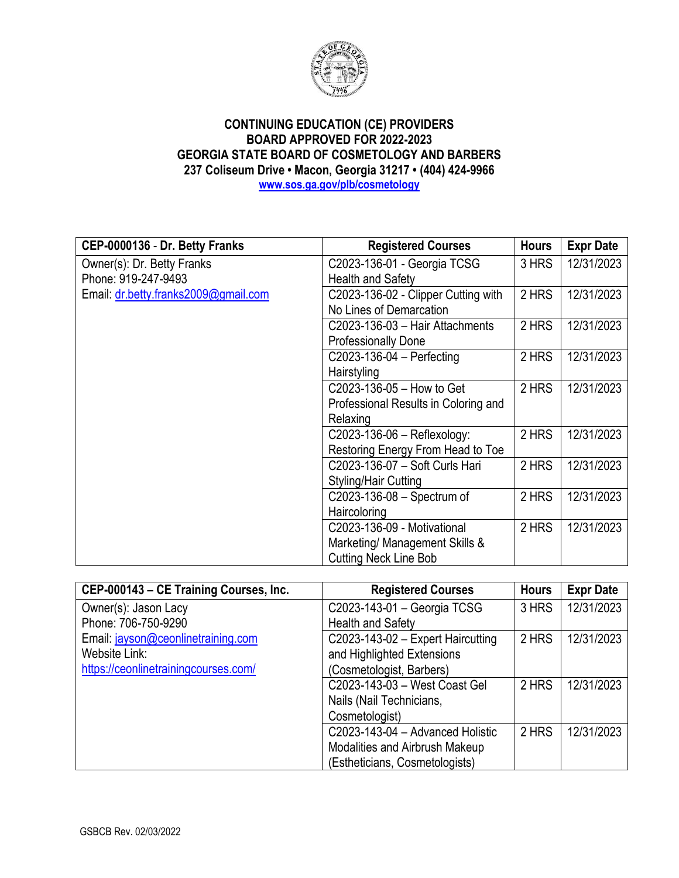

| CEP-0000136 - Dr. Betty Franks       | <b>Registered Courses</b>            | <b>Hours</b> | <b>Expr Date</b> |
|--------------------------------------|--------------------------------------|--------------|------------------|
| Owner(s): Dr. Betty Franks           | C2023-136-01 - Georgia TCSG          | 3 HRS        | 12/31/2023       |
| Phone: 919-247-9493                  | <b>Health and Safety</b>             |              |                  |
| Email: dr.betty.franks2009@gmail.com | C2023-136-02 - Clipper Cutting with  | 2 HRS        | 12/31/2023       |
|                                      | No Lines of Demarcation              |              |                  |
|                                      | C2023-136-03 - Hair Attachments      | 2 HRS        | 12/31/2023       |
|                                      | <b>Professionally Done</b>           |              |                  |
|                                      | $C2023-136-04 - Perfecting$          | 2 HRS        | 12/31/2023       |
|                                      | Hairstyling                          |              |                  |
|                                      | C2023-136-05 - How to Get            | 2 HRS        | 12/31/2023       |
|                                      | Professional Results in Coloring and |              |                  |
|                                      | Relaxing                             |              |                  |
|                                      | C2023-136-06 - Reflexology:          | 2 HRS        | 12/31/2023       |
|                                      | Restoring Energy From Head to Toe    |              |                  |
|                                      | C2023-136-07 - Soft Curls Hari       | 2 HRS        | 12/31/2023       |
|                                      | Styling/Hair Cutting                 |              |                  |
|                                      | C2023-136-08 - Spectrum of           | 2 HRS        | 12/31/2023       |
|                                      | Haircoloring                         |              |                  |
|                                      | C2023-136-09 - Motivational          | 2 HRS        | 12/31/2023       |
|                                      | Marketing/ Management Skills &       |              |                  |
|                                      | <b>Cutting Neck Line Bob</b>         |              |                  |

| CEP-000143 - CE Training Courses, Inc. | <b>Registered Courses</b>           | <b>Hours</b> | <b>Expr Date</b> |
|----------------------------------------|-------------------------------------|--------------|------------------|
| Owner(s): Jason Lacy                   | C2023-143-01 - Georgia TCSG         | 3 HRS        | 12/31/2023       |
| Phone: 706-750-9290                    | <b>Health and Safety</b>            |              |                  |
| Email: jayson@ceonlinetraining.com     | $C2023-143-02$ - Expert Haircutting | 2 HRS        | 12/31/2023       |
| Website Link:                          | and Highlighted Extensions          |              |                  |
| https://ceonlinetrainingcourses.com/   | (Cosmetologist, Barbers)            |              |                  |
|                                        | C2023-143-03 - West Coast Gel       | 2 HRS        | 12/31/2023       |
|                                        | Nails (Nail Technicians,            |              |                  |
|                                        | Cosmetologist)                      |              |                  |
|                                        | C2023-143-04 - Advanced Holistic    | 2 HRS        | 12/31/2023       |
|                                        | Modalities and Airbrush Makeup      |              |                  |
|                                        | (Estheticians, Cosmetologists)      |              |                  |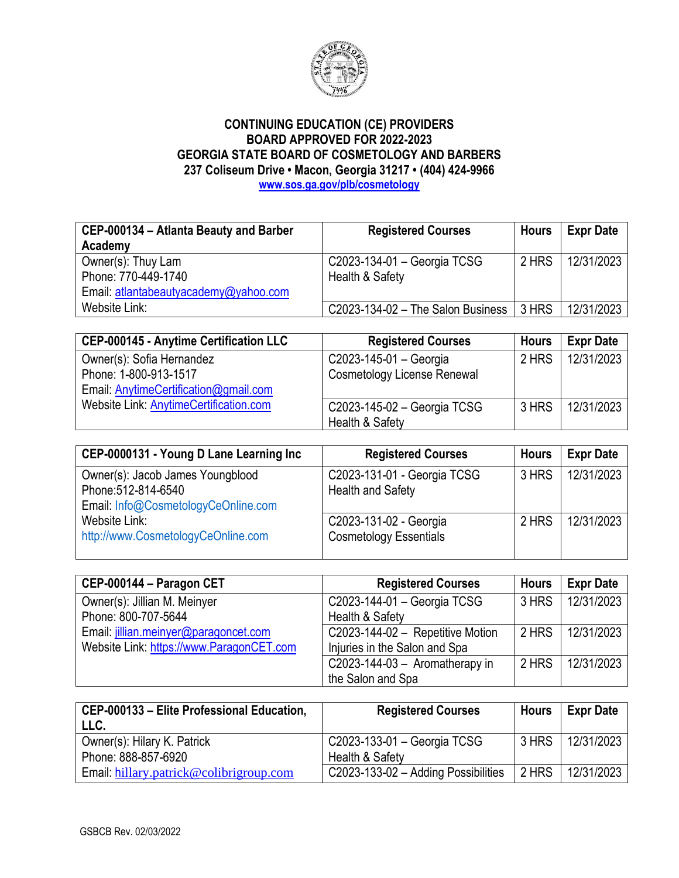

| CEP-000134 - Atlanta Beauty and Barber | <b>Registered Courses</b>           | <b>Hours</b> | <b>Expr Date</b> |
|----------------------------------------|-------------------------------------|--------------|------------------|
| Academy                                |                                     |              |                  |
| Owner(s): Thuy Lam                     | C2023-134-01 - Georgia TCSG         | 2 HRS        | 12/31/2023       |
| Phone: 770-449-1740                    | Health & Safety                     |              |                  |
| Email: atlantabeautyacademy@yahoo.com  |                                     |              |                  |
| Website Link:                          | $C2023-134-02$ – The Salon Business | 3 HRS        | 12/31/2023       |

| <b>CEP-000145 - Anytime Certification LLC</b> | <b>Registered Courses</b>                      | <b>Hours</b> | <b>Expr Date</b> |
|-----------------------------------------------|------------------------------------------------|--------------|------------------|
| Owner(s): Sofia Hernandez                     | C2023-145-01 - Georgia                         | 2 HRS        | 12/31/2023       |
| Phone: 1-800-913-1517                         | <b>Cosmetology License Renewal</b>             |              |                  |
| Email: AnytimeCertification@gmail.com         |                                                |              |                  |
| Website Link: AnytimeCertification.com        | C2023-145-02 - Georgia TCSG<br>Health & Safety | 3 HRS        | 12/31/2023       |

| CEP-0000131 - Young D Lane Learning Inc                 | <b>Registered Courses</b>                               | <b>Hours</b> | <b>Expr Date</b> |
|---------------------------------------------------------|---------------------------------------------------------|--------------|------------------|
| Owner(s): Jacob James Youngblood<br>Phone: 512-814-6540 | C2023-131-01 - Georgia TCSG<br>Health and Safety        | 3 HRS        | 12/31/2023       |
| Email: Info@CosmetologyCeOnline.com                     |                                                         |              |                  |
| Website Link:<br>http://www.CosmetologyCeOnline.com     | C2023-131-02 - Georgia<br><b>Cosmetology Essentials</b> | 2 HRS        | 12/31/2023       |

| CEP-000144 - Paragon CET                 | <b>Registered Courses</b>        | <b>Hours</b> | <b>Expr Date</b> |
|------------------------------------------|----------------------------------|--------------|------------------|
| Owner(s): Jillian M. Meinyer             | C2023-144-01 - Georgia TCSG      | 3 HRS        | 12/31/2023       |
| Phone: 800-707-5644                      | Health & Safety                  |              |                  |
| Email: jillian.meinyer@paragoncet.com    | C2023-144-02 - Repetitive Motion | 2 HRS        | 12/31/2023       |
| Website Link: https://www.ParagonCET.com | Injuries in the Salon and Spa    |              |                  |
|                                          | C2023-144-03 - Aromatherapy in   | 2 HRS        | 12/31/2023       |
|                                          | the Salon and Spa                |              |                  |

| CEP-000133 - Elite Professional Education,<br>LLC. | <b>Registered Courses</b>           | Hours | <b>Expr Date</b> |
|----------------------------------------------------|-------------------------------------|-------|------------------|
| Owner(s): Hilary K. Patrick                        | C2023-133-01 - Georgia TCSG         | 3 HRS | 12/31/2023       |
| Phone: 888-857-6920                                | Health & Safety                     |       |                  |
| Email: hillary.patrick@colibrigroup.com            | C2023-133-02 - Adding Possibilities | 2 HRS | 12/31/2023       |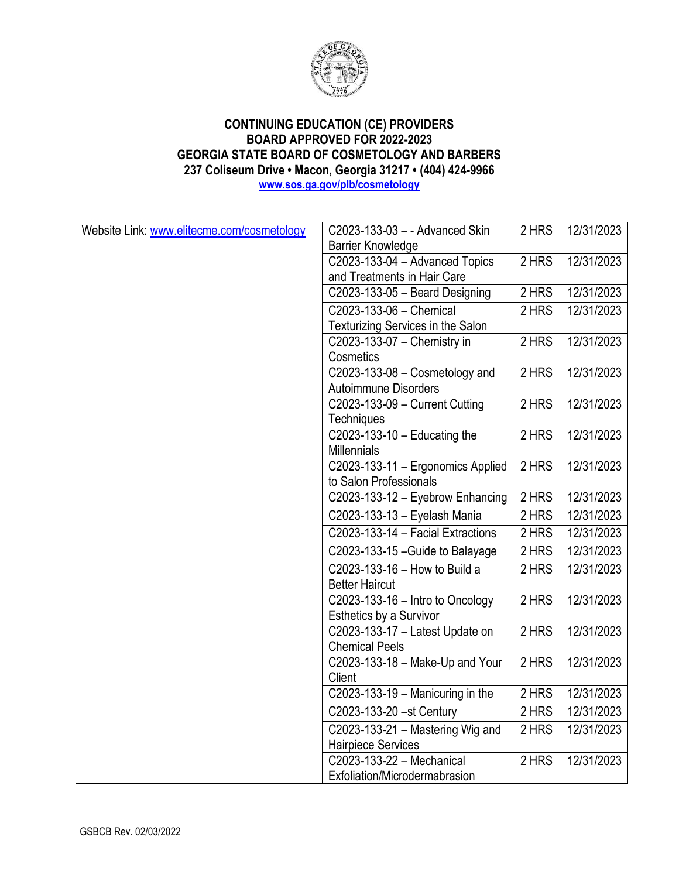

| Website Link: www.elitecme.com/cosmetology | C2023-133-03 - - Advanced Skin                 | 2 HRS | 12/31/2023 |
|--------------------------------------------|------------------------------------------------|-------|------------|
|                                            | <b>Barrier Knowledge</b>                       |       |            |
|                                            | C2023-133-04 - Advanced Topics                 | 2 HRS | 12/31/2023 |
|                                            | and Treatments in Hair Care                    |       |            |
|                                            | C2023-133-05 - Beard Designing                 | 2 HRS | 12/31/2023 |
|                                            | C2023-133-06 - Chemical                        | 2 HRS | 12/31/2023 |
|                                            | Texturizing Services in the Salon              |       |            |
|                                            | C2023-133-07 - Chemistry in                    | 2 HRS | 12/31/2023 |
|                                            | Cosmetics                                      |       |            |
|                                            | C2023-133-08 - Cosmetology and                 | 2 HRS | 12/31/2023 |
|                                            | <b>Autoimmune Disorders</b>                    |       |            |
|                                            | C2023-133-09 - Current Cutting                 | 2 HRS | 12/31/2023 |
|                                            | Techniques                                     |       |            |
|                                            | C2023-133-10 $-$ Educating the                 | 2 HRS | 12/31/2023 |
|                                            | Millennials                                    |       |            |
|                                            | C2023-133-11 - Ergonomics Applied              | 2 HRS | 12/31/2023 |
|                                            | to Salon Professionals                         |       |            |
|                                            | C2023-133-12 - Eyebrow Enhancing               | 2 HRS | 12/31/2023 |
|                                            | C2023-133-13 - Eyelash Mania                   | 2 HRS | 12/31/2023 |
|                                            | C2023-133-14 - Facial Extractions              | 2 HRS | 12/31/2023 |
|                                            | C2023-133-15 - Guide to Balayage               | 2 HRS | 12/31/2023 |
|                                            | C2023-133-16 - How to Build a                  | 2 HRS | 12/31/2023 |
|                                            | <b>Better Haircut</b>                          |       |            |
|                                            | $\overline{C2023}$ -133-16 - Intro to Oncology | 2 HRS | 12/31/2023 |
|                                            | <b>Esthetics by a Survivor</b>                 |       |            |
|                                            | C2023-133-17 - Latest Update on                | 2 HRS | 12/31/2023 |
|                                            | <b>Chemical Peels</b>                          |       |            |
|                                            | C2023-133-18 - Make-Up and Your                | 2 HRS | 12/31/2023 |
|                                            | Client                                         |       |            |
|                                            | C2023-133-19 $-$ Manicuring in the             | 2 HRS | 12/31/2023 |
|                                            | C2023-133-20 -st Century                       | 2 HRS | 12/31/2023 |
|                                            | C2023-133-21 - Mastering Wig and               | 2 HRS | 12/31/2023 |
|                                            | <b>Hairpiece Services</b>                      |       |            |
|                                            | C2023-133-22 - Mechanical                      | 2 HRS | 12/31/2023 |
|                                            | Exfoliation/Microdermabrasion                  |       |            |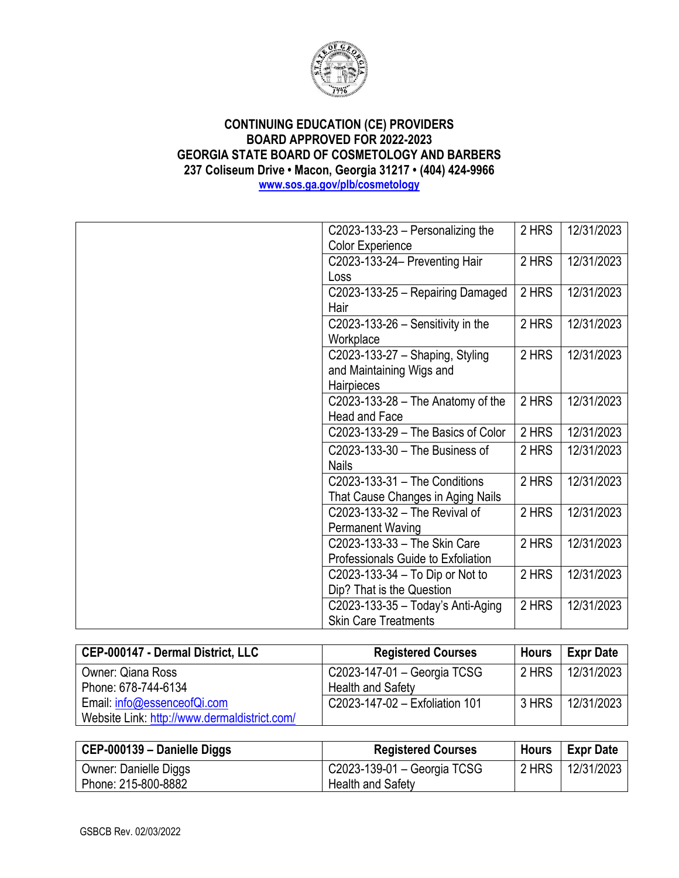

| C2023-133-23 $-$ Personalizing the  | 2 HRS | 12/31/2023 |
|-------------------------------------|-------|------------|
| <b>Color Experience</b>             |       |            |
| C2023-133-24- Preventing Hair       | 2 HRS | 12/31/2023 |
| Loss                                |       |            |
| C2023-133-25 - Repairing Damaged    | 2 HRS | 12/31/2023 |
| Hair                                |       |            |
| C2023-133-26 $-$ Sensitivity in the | 2 HRS | 12/31/2023 |
| Workplace                           |       |            |
| C2023-133-27 - Shaping, Styling     | 2 HRS | 12/31/2023 |
| and Maintaining Wigs and            |       |            |
| Hairpieces                          |       |            |
| C2023-133-28 $-$ The Anatomy of the | 2 HRS | 12/31/2023 |
| Head and Face                       |       |            |
| C2023-133-29 - The Basics of Color  | 2 HRS | 12/31/2023 |
| C2023-133-30 - The Business of      | 2 HRS | 12/31/2023 |
| <b>Nails</b>                        |       |            |
| C2023-133-31 - The Conditions       | 2 HRS | 12/31/2023 |
| That Cause Changes in Aging Nails   |       |            |
| C2023-133-32 - The Revival of       | 2 HRS | 12/31/2023 |
| <b>Permanent Waving</b>             |       |            |
| C2023-133-33 - The Skin Care        | 2 HRS | 12/31/2023 |
| Professionals Guide to Exfoliation  |       |            |
| C2023-133-34 - To Dip or Not to     | 2 HRS | 12/31/2023 |
| Dip? That is the Question           |       |            |
| C2023-133-35 - Today's Anti-Aging   | 2 HRS | 12/31/2023 |
| <b>Skin Care Treatments</b>         |       |            |

| CEP-000147 - Dermal District, LLC            | <b>Registered Courses</b>      | <b>Hours</b> | <b>Expr Date</b> |
|----------------------------------------------|--------------------------------|--------------|------------------|
| <b>Owner: Qiana Ross</b>                     | C2023-147-01 - Georgia TCSG    | 2 HRS        | 12/31/2023       |
| Phone: 678-744-6134                          | <b>Health and Safety</b>       |              |                  |
| Email: info@essenceofQi.com                  | C2023-147-02 - Exfoliation 101 | 3 HRS        | 12/31/2023       |
| Website Link: http://www.dermaldistrict.com/ |                                |              |                  |

| CEP-000139 - Danielle Diggs  | <b>Registered Courses</b>   | Hours | <b>∣ Expr Date</b> |
|------------------------------|-----------------------------|-------|--------------------|
| <b>Owner: Danielle Diggs</b> | C2023-139-01 - Georgia TCSG | 2 HRS | 12/31/2023         |
| Phone: 215-800-8882          | <b>Health and Safety</b>    |       |                    |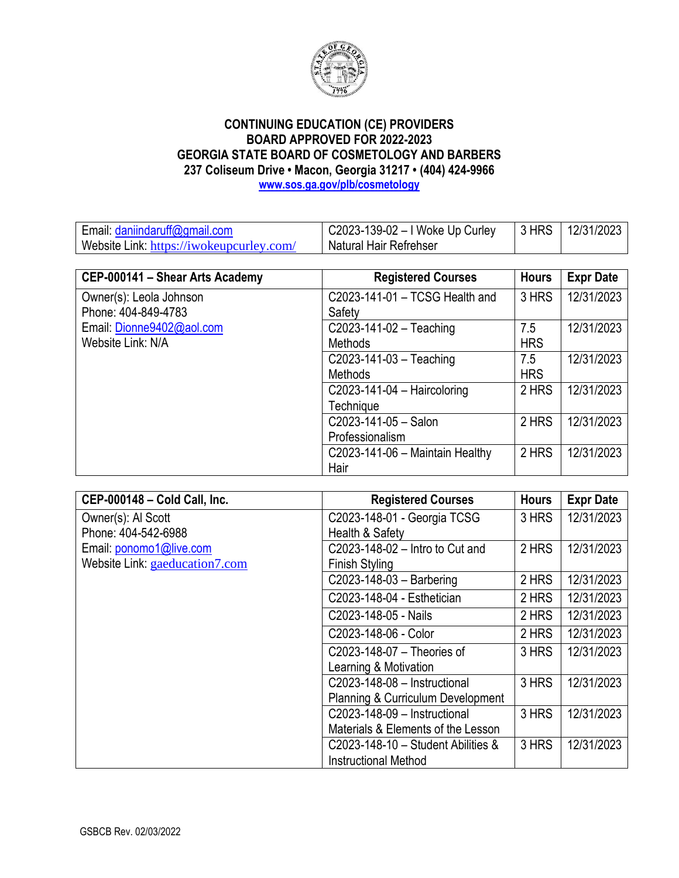

Email[: daniindaruff@gmail.com](mailto:daniindaruff@gmail.com) Website Link: <https://iwokeupcurley.com/> C2023-139-02 – I Woke Up Curley Natural Hair Refrehser 3 HRS 12/31/2023

| CEP-000141 - Shear Arts Academy | <b>Registered Courses</b>         | <b>Hours</b> | <b>Expr Date</b> |
|---------------------------------|-----------------------------------|--------------|------------------|
| Owner(s): Leola Johnson         | C2023-141-01 - TCSG Health and    | 3 HRS        | 12/31/2023       |
| Phone: 404-849-4783             | Safety                            |              |                  |
| Email: Dionne9402@aol.com       | $C2023-141-02 - Teaching$         | 7.5          | 12/31/2023       |
| Website Link: N/A               | <b>Methods</b>                    | <b>HRS</b>   |                  |
|                                 | $C2023-141-03 - Teaching$         | 7.5          | 12/31/2023       |
|                                 | Methods                           | <b>HRS</b>   |                  |
|                                 | $C2023-141-04$ - Haircoloring     | 2 HRS        | 12/31/2023       |
|                                 | Technique                         |              |                  |
|                                 | C2023-141-05 - Salon              | 2 HRS        | 12/31/2023       |
|                                 | Professionalism                   |              |                  |
|                                 | $C2023-141-06$ - Maintain Healthy | 2 HRS        | 12/31/2023       |
|                                 | Hair                              |              |                  |

| CEP-000148 - Cold Call, Inc.   | <b>Registered Courses</b>                    | <b>Hours</b> | <b>Expr Date</b> |
|--------------------------------|----------------------------------------------|--------------|------------------|
| Owner(s): Al Scott             | C2023-148-01 - Georgia TCSG                  | 3 HRS        | 12/31/2023       |
| Phone: 404-542-6988            | Health & Safety                              |              |                  |
| Email: ponomo1@live.com        | C2023-148-02 - Intro to Cut and              | 2 HRS        | 12/31/2023       |
| Website Link: gaeducation7.com | <b>Finish Styling</b>                        |              |                  |
|                                | $C2023-148-03$ - Barbering                   | 2 HRS        | 12/31/2023       |
|                                | C2023-148-04 - Esthetician                   | 2 HRS        | 12/31/2023       |
|                                | C2023-148-05 - Nails                         | 2 HRS        | 12/31/2023       |
|                                | C2023-148-06 - Color                         | 2 HRS        | 12/31/2023       |
|                                | C2023-148-07 - Theories of                   | 3 HRS        | 12/31/2023       |
|                                | Learning & Motivation                        |              |                  |
|                                | C2023-148-08 - Instructional                 | 3 HRS        | 12/31/2023       |
|                                | <b>Planning &amp; Curriculum Development</b> |              |                  |
|                                | C2023-148-09 - Instructional                 | 3 HRS        | 12/31/2023       |
|                                | Materials & Elements of the Lesson           |              |                  |
|                                | $C2023-148-10$ - Student Abilities &         | 3 HRS        | 12/31/2023       |
|                                | <b>Instructional Method</b>                  |              |                  |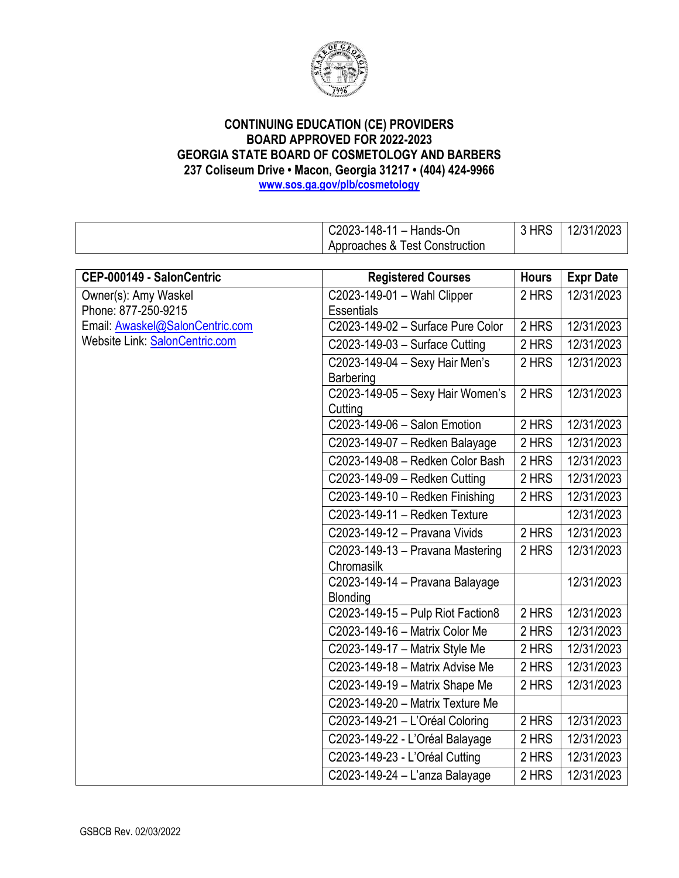

C2023-148-11 – Hands-On Approaches & Test Construction 3 HRS 12/31/2023 **CEP-000149 - SalonCentric Registered Courses Hours Expr Date** Owner(s): Amy Waskel C2023-149-01 – Wahl Clipper **Essentials** 2 HRS 12/31/2023 C2023-149-02 – Surface Pure Color | 2 HRS | 12/31/2023 C2023-149-03 – Surface Cutting 2 HRS 12/31/2023 C2023-149-04 – Sexy Hair Men's **Barbering** 2 HRS 12/31/2023 C2023-149-05 – Sexy Hair Women's 2 HRS 12/31/2023

| Phone: 877-250-9215             | <b>Essentials</b>                 |       |            |
|---------------------------------|-----------------------------------|-------|------------|
| Email: Awaskel@SalonCentric.com | C2023-149-02 - Surface Pure Color | 2 HRS | 12/31/2023 |
| Website Link: SalonCentric.com  | C2023-149-03 - Surface Cutting    | 2 HRS | 12/31/2023 |
|                                 | C2023-149-04 - Sexy Hair Men's    | 2 HRS | 12/31/2023 |
|                                 | <b>Barbering</b>                  |       |            |
|                                 | C2023-149-05 - Sexy Hair Women's  | 2 HRS | 12/31/2023 |
|                                 | Cutting                           |       |            |
|                                 | C2023-149-06 - Salon Emotion      | 2 HRS | 12/31/2023 |
|                                 | C2023-149-07 - Redken Balayage    | 2 HRS | 12/31/2023 |
|                                 | C2023-149-08 - Redken Color Bash  | 2 HRS | 12/31/2023 |
|                                 | C2023-149-09 - Redken Cutting     | 2 HRS | 12/31/2023 |
|                                 | C2023-149-10 - Redken Finishing   | 2 HRS | 12/31/2023 |
|                                 | C2023-149-11 - Redken Texture     |       | 12/31/2023 |
|                                 | C2023-149-12 - Pravana Vivids     | 2 HRS | 12/31/2023 |
|                                 | C2023-149-13 - Pravana Mastering  | 2 HRS | 12/31/2023 |
|                                 | Chromasilk                        |       |            |
|                                 | C2023-149-14 - Pravana Balayage   |       | 12/31/2023 |
|                                 | Blonding                          |       |            |
|                                 | C2023-149-15 - Pulp Riot Faction8 | 2 HRS | 12/31/2023 |
|                                 | C2023-149-16 - Matrix Color Me    | 2 HRS | 12/31/2023 |
|                                 | C2023-149-17 - Matrix Style Me    | 2 HRS | 12/31/2023 |
|                                 | C2023-149-18 - Matrix Advise Me   | 2 HRS | 12/31/2023 |
|                                 | C2023-149-19 - Matrix Shape Me    | 2 HRS | 12/31/2023 |
|                                 | C2023-149-20 - Matrix Texture Me  |       |            |
|                                 | C2023-149-21 - L'Oréal Coloring   | 2 HRS | 12/31/2023 |
|                                 | C2023-149-22 - L'Oréal Balayage   | 2 HRS | 12/31/2023 |
|                                 | C2023-149-23 - L'Oréal Cutting    | 2 HRS | 12/31/2023 |
|                                 | C2023-149-24 - L'anza Balayage    | 2 HRS | 12/31/2023 |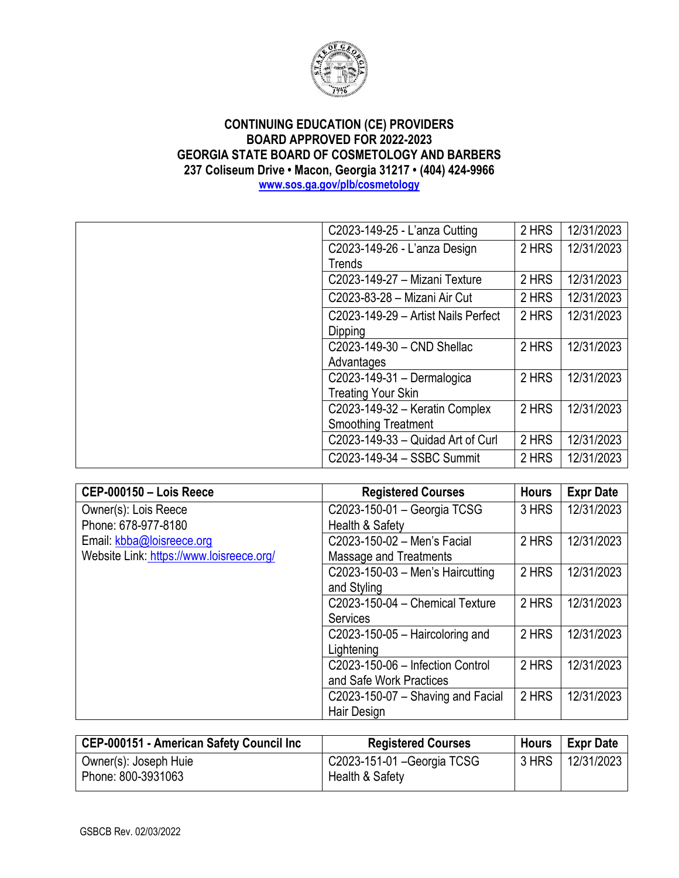

| C2023-149-25 - L'anza Cutting       | 2 HRS | 12/31/2023 |
|-------------------------------------|-------|------------|
| C2023-149-26 - L'anza Design        | 2 HRS | 12/31/2023 |
| Trends                              |       |            |
| C2023-149-27 - Mizani Texture       | 2 HRS | 12/31/2023 |
| C2023-83-28 - Mizani Air Cut        | 2 HRS | 12/31/2023 |
| C2023-149-29 - Artist Nails Perfect | 2 HRS | 12/31/2023 |
| Dipping                             |       |            |
| C2023-149-30 - CND Shellac          | 2 HRS | 12/31/2023 |
| Advantages                          |       |            |
| C2023-149-31 - Dermalogica          | 2 HRS | 12/31/2023 |
| <b>Treating Your Skin</b>           |       |            |
| C2023-149-32 - Keratin Complex      | 2 HRS | 12/31/2023 |
| <b>Smoothing Treatment</b>          |       |            |
| C2023-149-33 - Quidad Art of Curl   | 2 HRS | 12/31/2023 |
| C2023-149-34 - SSBC Summit          | 2 HRS | 12/31/2023 |

| CEP-000150 - Lois Reece                  | <b>Registered Courses</b>           | <b>Hours</b> | <b>Expr Date</b> |
|------------------------------------------|-------------------------------------|--------------|------------------|
| Owner(s): Lois Reece                     | C2023-150-01 - Georgia TCSG         | 3 HRS        | 12/31/2023       |
| Phone: 678-977-8180                      | Health & Safety                     |              |                  |
| Email: kbba@loisreece.org                | C2023-150-02 - Men's Facial         | 2 HRS        | 12/31/2023       |
| Website Link: https://www.loisreece.org/ | Massage and Treatments              |              |                  |
|                                          | $C2023-150-03$ – Men's Haircutting  | 2 HRS        | 12/31/2023       |
|                                          | and Styling                         |              |                  |
|                                          | C2023-150-04 - Chemical Texture     | 2 HRS        | 12/31/2023       |
|                                          | <b>Services</b>                     |              |                  |
|                                          | C2023-150-05 $-$ Haircoloring and   | 2 HRS        | 12/31/2023       |
|                                          | Lightening                          |              |                  |
|                                          | C2023-150-06 - Infection Control    | 2 HRS        | 12/31/2023       |
|                                          | and Safe Work Practices             |              |                  |
|                                          | $C2023-150-07$ – Shaving and Facial | 2 HRS        | 12/31/2023       |
|                                          | Hair Design                         |              |                  |

| <b>Registered Courses</b>   | Hours           | <b>Expr Date</b> |
|-----------------------------|-----------------|------------------|
| C2023-151-01 - Georgia TCSG |                 | 12/31/2023       |
|                             | Health & Safety | 3 HRS            |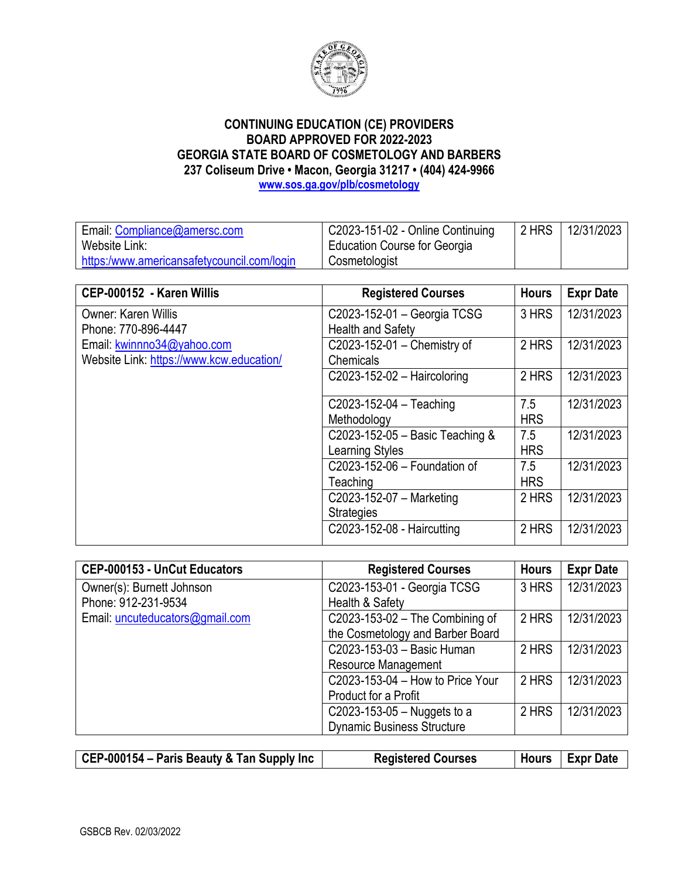

| Email: Compliance@amersc.com               | C2023-151-02 - Online Continuing | 2 HRS | 12/31/2023 |
|--------------------------------------------|----------------------------------|-------|------------|
| Website Link:                              | Education Course for Georgia     |       |            |
| https:/www.americansafetycouncil.com/login | Cosmetologist                    |       |            |

| CEP-000152 - Karen Willis                | <b>Registered Courses</b>       | <b>Hours</b> | <b>Expr Date</b> |
|------------------------------------------|---------------------------------|--------------|------------------|
| Owner: Karen Willis                      | C2023-152-01 - Georgia TCSG     | 3 HRS        | 12/31/2023       |
| Phone: 770-896-4447                      | <b>Health and Safety</b>        |              |                  |
| Email: kwinnno34@yahoo.com               | C2023-152-01 - Chemistry of     | 2 HRS        | 12/31/2023       |
| Website Link: https://www.kcw.education/ | Chemicals                       |              |                  |
|                                          | $C2023-152-02$ - Haircoloring   | 2 HRS        | 12/31/2023       |
|                                          | $C2023 - 152 - 04 - Teaching$   | 7.5          | 12/31/2023       |
|                                          | Methodology                     | <b>HRS</b>   |                  |
|                                          | C2023-152-05 - Basic Teaching & | 7.5          | 12/31/2023       |
|                                          | <b>Learning Styles</b>          | <b>HRS</b>   |                  |
|                                          | C2023-152-06 - Foundation of    | 7.5          | 12/31/2023       |
|                                          | Teaching                        | <b>HRS</b>   |                  |
|                                          | C2023-152-07 - Marketing        | 2 HRS        | 12/31/2023       |
|                                          | <b>Strategies</b>               |              |                  |
|                                          | C2023-152-08 - Haircutting      | 2 HRS        | 12/31/2023       |

| CEP-000153 - UnCut Educators    | <b>Registered Courses</b>         | <b>Hours</b> | <b>Expr Date</b> |
|---------------------------------|-----------------------------------|--------------|------------------|
| Owner(s): Burnett Johnson       | C2023-153-01 - Georgia TCSG       | 3 HRS        | 12/31/2023       |
| Phone: 912-231-9534             | Health & Safety                   |              |                  |
| Email: uncuteducators@gmail.com | C2023-153-02 - The Combining of   | 2 HRS        | 12/31/2023       |
|                                 | the Cosmetology and Barber Board  |              |                  |
|                                 | C2023-153-03 - Basic Human        | 2 HRS        | 12/31/2023       |
|                                 | <b>Resource Management</b>        |              |                  |
|                                 | C2023-153-04 - How to Price Your  | 2 HRS        | 12/31/2023       |
|                                 | Product for a Profit              |              |                  |
|                                 | C2023-153-05 - Nuggets to a       | 2 HRS        | 12/31/2023       |
|                                 | <b>Dynamic Business Structure</b> |              |                  |
|                                 |                                   |              |                  |

| $\vert$ CEP-000154 – Paris Beauty & Tan Supply Inc $\vert$ | <b>Registered Courses</b> | Hours   Expr Date |
|------------------------------------------------------------|---------------------------|-------------------|
|                                                            |                           |                   |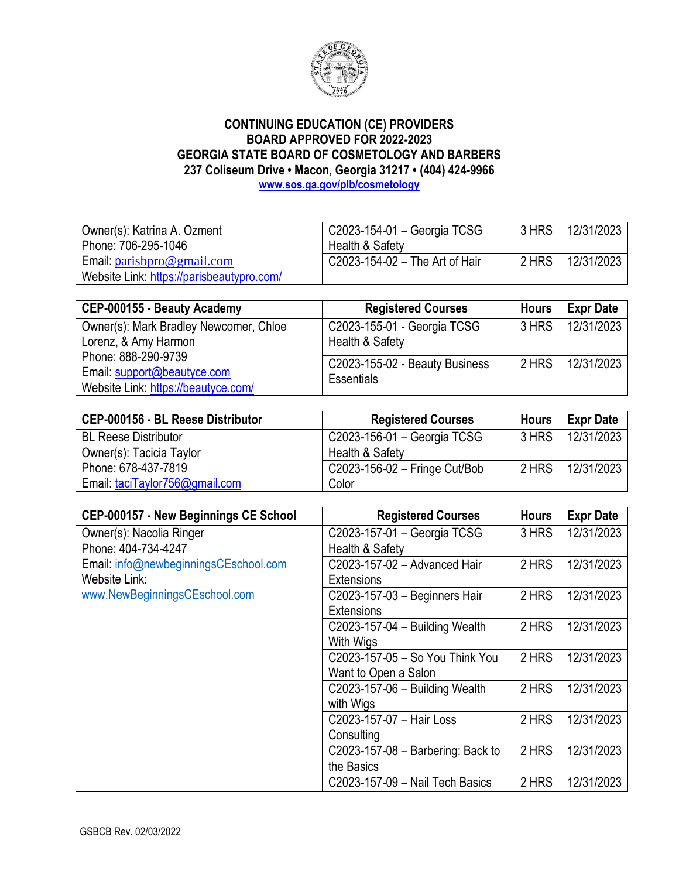

| Owner(s): Katrina A. Ozment                                            | C2023-154-01 - Georgia TCSG    | <b>3 HRS</b> | 12/31/2023 |
|------------------------------------------------------------------------|--------------------------------|--------------|------------|
| Phone: 706-295-1046                                                    | Health & Safety                |              |            |
| Email: $\frac{\text{parisbpro@gmail.com}}{\text{parisbpro@gmail.com}}$ | C2023-154-02 - The Art of Hair | 2 HRS        | 12/31/2023 |
| Website Link: https://parisbeautypro.com/                              |                                |              |            |

| CEP-000155 - Beauty Academy                                    | <b>Registered Courses</b>                           | <b>Hours</b> | <b>Expr Date</b> |
|----------------------------------------------------------------|-----------------------------------------------------|--------------|------------------|
| Owner(s): Mark Bradley Newcomer, Chloe<br>Lorenz, & Amy Harmon | C2023-155-01 - Georgia TCSG<br>Health & Safety      | 3 HRS        | 12/31/2023       |
| Phone: 888-290-9739<br>Email: support@beautyce.com             | C2023-155-02 - Beauty Business<br><b>Essentials</b> | 2 HRS        | 12/31/2023       |
| Website Link: https://beautyce.com/                            |                                                     |              |                  |

| CEP-000156 - BL Reese Distributor | <b>Registered Courses</b>     | <b>Hours</b> | <b>Expr Date</b> |
|-----------------------------------|-------------------------------|--------------|------------------|
| <b>BL Reese Distributor</b>       | C2023-156-01 - Georgia TCSG   | 3 HRS        | 12/31/2023       |
| Owner(s): Tacicia Taylor          | Health & Safety               |              |                  |
| Phone: 678-437-7819               | C2023-156-02 - Fringe Cut/Bob | 2 HRS        | 12/31/2023       |
| Email: taciTaylor756@gmail.com    | Color                         |              |                  |

| CEP-000157 - New Beginnings CE School | <b>Registered Courses</b>         | <b>Hours</b> | <b>Expr Date</b> |
|---------------------------------------|-----------------------------------|--------------|------------------|
| Owner(s): Nacolia Ringer              | C2023-157-01 - Georgia TCSG       | 3 HRS        | 12/31/2023       |
| Phone: 404-734-4247                   | Health & Safety                   |              |                  |
| Email: info@newbeginningsCEschool.com | C2023-157-02 - Advanced Hair      | 2 HRS        | 12/31/2023       |
| Website Link:                         | <b>Extensions</b>                 |              |                  |
| www.NewBeginningsCEschool.com         | C2023-157-03 - Beginners Hair     | 2 HRS        | 12/31/2023       |
|                                       | <b>Extensions</b>                 |              |                  |
|                                       | C2023-157-04 - Building Wealth    | 2 HRS        | 12/31/2023       |
|                                       | With Wigs                         |              |                  |
|                                       | C2023-157-05 - So You Think You   | 2 HRS        | 12/31/2023       |
|                                       | Want to Open a Salon              |              |                  |
|                                       | C2023-157-06 - Building Wealth    | 2 HRS        | 12/31/2023       |
|                                       | with Wigs                         |              |                  |
|                                       | C2023-157-07 - Hair Loss          | 2 HRS        | 12/31/2023       |
|                                       | Consulting                        |              |                  |
|                                       | C2023-157-08 - Barbering: Back to | 2 HRS        | 12/31/2023       |
|                                       | the Basics                        |              |                  |
|                                       | C2023-157-09 - Nail Tech Basics   | 2 HRS        | 12/31/2023       |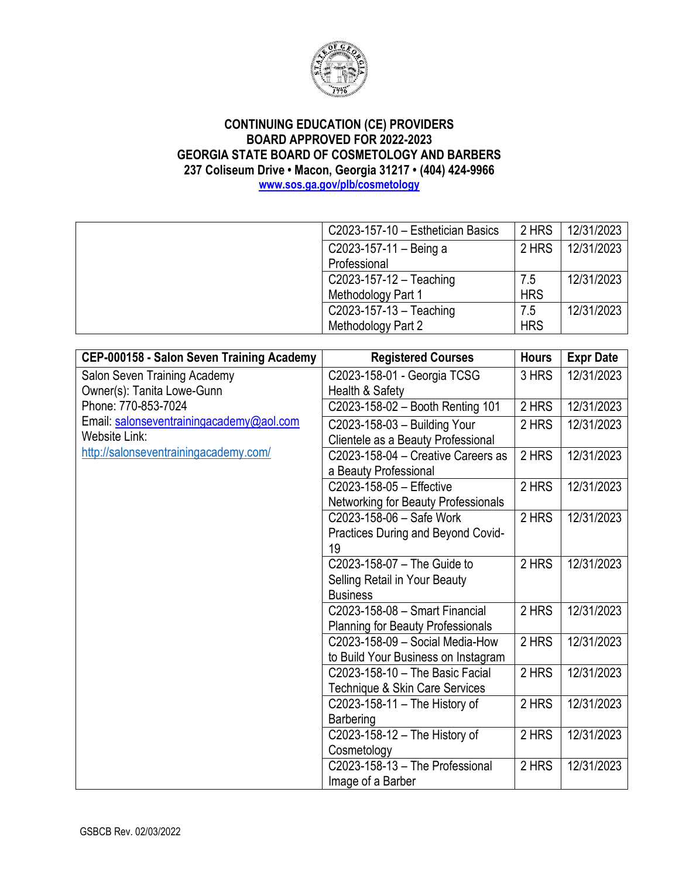

| C2023-157-10 - Esthetician Basics | 2 HRS      | 12/31/2023 |
|-----------------------------------|------------|------------|
| C2023-157-11 - Being a            | 2 HRS      | 12/31/2023 |
| Professional                      |            |            |
| C2023-157-12 - Teaching           | 7.5        | 12/31/2023 |
| Methodology Part 1                | <b>HRS</b> |            |
| $C2023 - 157 - 13 - Teaching$     | 7.5        | 12/31/2023 |
| Methodology Part 2                | <b>HRS</b> |            |
|                                   |            |            |

| CEP-000158 - Salon Seven Training Academy | <b>Registered Courses</b>                  | <b>Hours</b> | <b>Expr Date</b> |
|-------------------------------------------|--------------------------------------------|--------------|------------------|
| Salon Seven Training Academy              | C2023-158-01 - Georgia TCSG                | 3 HRS        | 12/31/2023       |
| Owner(s): Tanita Lowe-Gunn                | Health & Safety                            |              |                  |
| Phone: 770-853-7024                       | C2023-158-02 - Booth Renting 101           | 2 HRS        | 12/31/2023       |
| Email: salonseventrainingacademy@aol.com  | C2023-158-03 - Building Your               | 2 HRS        | 12/31/2023       |
| <b>Website Link:</b>                      | Clientele as a Beauty Professional         |              |                  |
| http://salonseventrainingacademy.com/     | C2023-158-04 - Creative Careers as         | 2 HRS        | 12/31/2023       |
|                                           | a Beauty Professional                      |              |                  |
|                                           | C2023-158-05 - Effective                   | 2 HRS        | 12/31/2023       |
|                                           | <b>Networking for Beauty Professionals</b> |              |                  |
|                                           | C2023-158-06 - Safe Work                   | 2 HRS        | 12/31/2023       |
|                                           | Practices During and Beyond Covid-         |              |                  |
|                                           | 19                                         |              |                  |
|                                           | C2023-158-07 - The Guide to                | 2 HRS        | 12/31/2023       |
|                                           | Selling Retail in Your Beauty              |              |                  |
|                                           | <b>Business</b>                            |              |                  |
|                                           | C2023-158-08 - Smart Financial             | 2 HRS        | 12/31/2023       |
|                                           | <b>Planning for Beauty Professionals</b>   |              |                  |
|                                           | C2023-158-09 - Social Media-How            | 2 HRS        | 12/31/2023       |
|                                           | to Build Your Business on Instagram        |              |                  |
|                                           | C2023-158-10 - The Basic Facial            | 2 HRS        | 12/31/2023       |
|                                           | Technique & Skin Care Services             |              |                  |
|                                           | C2023-158-11 $-$ The History of            | 2 HRS        | 12/31/2023       |
|                                           | <b>Barbering</b>                           |              |                  |
|                                           | C2023-158-12 - The History of              | 2 HRS        | 12/31/2023       |
|                                           | Cosmetology                                |              |                  |
|                                           | C2023-158-13 - The Professional            | 2 HRS        | 12/31/2023       |
|                                           | Image of a Barber                          |              |                  |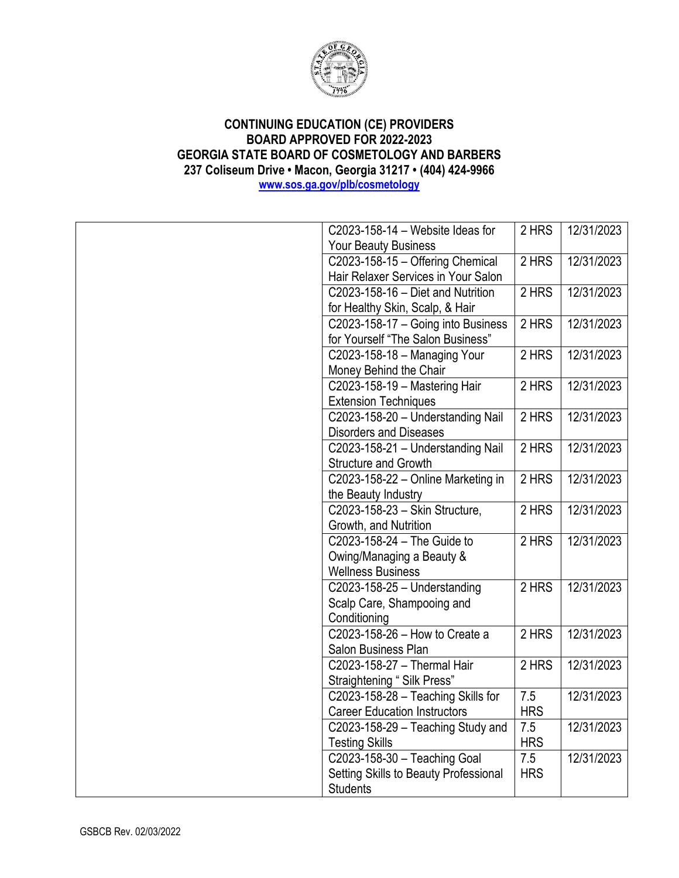

| C2023-158-14 - Website Ideas for             | 2 HRS      | 12/31/2023 |
|----------------------------------------------|------------|------------|
| <b>Your Beauty Business</b>                  |            |            |
| C2023-158-15 - Offering Chemical             | 2 HRS      | 12/31/2023 |
| Hair Relaxer Services in Your Salon          |            |            |
| C2023-158-16 - Diet and Nutrition            | 2 HRS      | 12/31/2023 |
| for Healthy Skin, Scalp, & Hair              |            |            |
| C2023-158-17 - Going into Business           | 2 HRS      | 12/31/2023 |
| for Yourself "The Salon Business"            |            |            |
| C2023-158-18 - Managing Your                 | 2 HRS      | 12/31/2023 |
| Money Behind the Chair                       |            |            |
| C2023-158-19 - Mastering Hair                | 2 HRS      | 12/31/2023 |
| <b>Extension Techniques</b>                  |            |            |
| C2023-158-20 - Understanding Nail            | 2 HRS      | 12/31/2023 |
| <b>Disorders and Diseases</b>                |            |            |
| C2023-158-21 - Understanding Nail            | 2 HRS      | 12/31/2023 |
| <b>Structure and Growth</b>                  |            |            |
| C2023-158-22 - Online Marketing in           | 2 HRS      | 12/31/2023 |
| the Beauty Industry                          |            |            |
| C2023-158-23 - Skin Structure,               | 2 HRS      | 12/31/2023 |
| Growth, and Nutrition                        |            |            |
| C2023-158-24 - The Guide to                  | 2 HRS      | 12/31/2023 |
| Owing/Managing a Beauty &                    |            |            |
| <b>Wellness Business</b>                     |            |            |
| C2023-158-25 - Understanding                 | 2 HRS      | 12/31/2023 |
| Scalp Care, Shampooing and                   |            |            |
| Conditioning                                 |            |            |
| $\overline{C20}$ 23-158-26 - How to Create a | 2 HRS      | 12/31/2023 |
| Salon Business Plan                          |            |            |
| C2023-158-27 - Thermal Hair                  | 2 HRS      | 12/31/2023 |
| Straightening "Silk Press"                   |            |            |
| C2023-158-28 - Teaching Skills for           | 7.5        | 12/31/2023 |
| <b>Career Education Instructors</b>          | <b>HRS</b> |            |
| C2023-158-29 - Teaching Study and            | 7.5        | 12/31/2023 |
| <b>Testing Skills</b>                        | <b>HRS</b> |            |
| C2023-158-30 - Teaching Goal                 | 7.5        | 12/31/2023 |
| Setting Skills to Beauty Professional        | <b>HRS</b> |            |
| <b>Students</b>                              |            |            |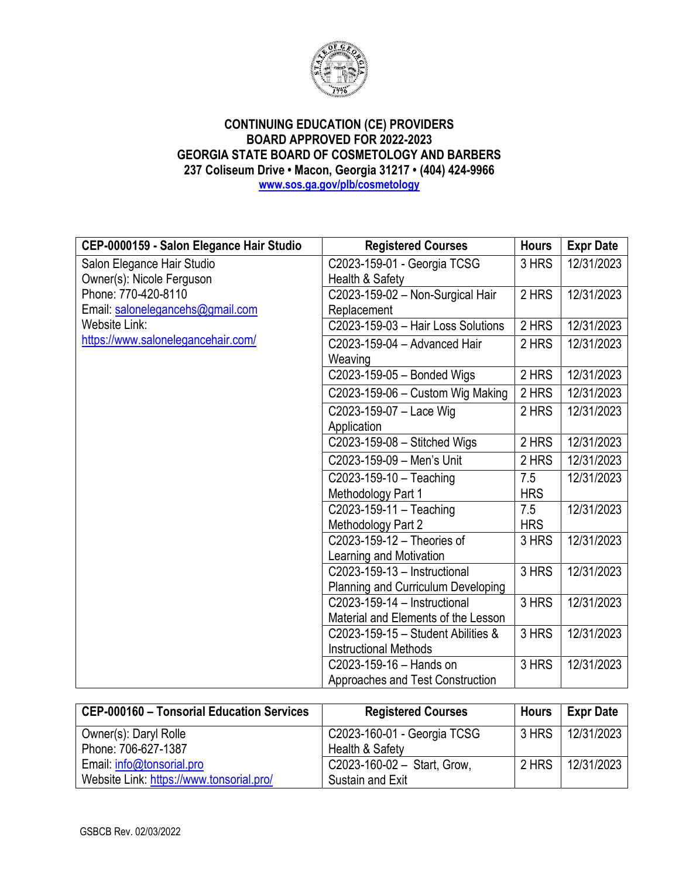

**CEP-0000159 - Salon Elegance Hair Studio | Registered Courses | Hours | Expr Date** Salon Elegance Hair Studio Owner(s): Nicole Ferguson Phone: 770-420-8110 Email[: salonelegancehs@gmail.com](mailto:salonelegancehs@gmail.com) Website Link: <https://www.salonelegancehair.com/> C2023-159-01 - Georgia TCSG Health & Safety 3 HRS 12/31/2023 C2023-159-02 – Non-Surgical Hair Replacement 2 HRS 12/31/2023 C2023-159-03 – Hair Loss Solutions | 2 HRS | 12/31/2023 C2023-159-04 – Advanced Hair Weaving 2 HRS 12/31/2023 C2023-159-05 – Bonded Wigs  $\vert$  2 HRS  $\vert$  12/31/2023  $C2023-159-06 -$  Custom Wig Making 2 HRS 12/31/2023 C2023-159-07 – Lace Wig **Application** 2 HRS 12/31/2023 C2023-159-08 – Stitched Wigs 2 HRS 12/31/2023 C2023-159-09 – Men's Unit  $\vert$  2 HRS  $\vert$  12/31/2023 C2023-159-10 – Teaching Methodology Part 1 7.5 **HRS** 12/31/2023 C2023-159-11 – Teaching Methodology Part 2 7.5 HRS 12/31/2023 C2023-159-12 – Theories of Learning and Motivation 3 HRS 12/31/2023 C2023-159-13 – Instructional Planning and Curriculum Developing 3 HRS 12/31/2023 C2023-159-14 – Instructional Material and Elements of the Lesson 3 HRS 12/31/2023 C2023-159-15 – Student Abilities & Instructional Methods 3 HRS 12/31/2023 C2023-159-16 – Hands on Approaches and Test Construction 3 HRS 12/31/2023

| <b>CEP-000160 - Tonsorial Education Services</b> | <b>Registered Courses</b>   | <b>Hours</b> | <b>Expr Date</b> |
|--------------------------------------------------|-----------------------------|--------------|------------------|
| Owner(s): Daryl Rolle                            | C2023-160-01 - Georgia TCSG | 3 HRS        | 12/31/2023       |
| Phone: 706-627-1387                              | Health & Safety             |              |                  |
| Email: info@tonsorial.pro                        | C2023-160-02 - Start, Grow, | 2 HRS        | 12/31/2023       |
| Website Link: https://www.tonsorial.pro/         | Sustain and Exit            |              |                  |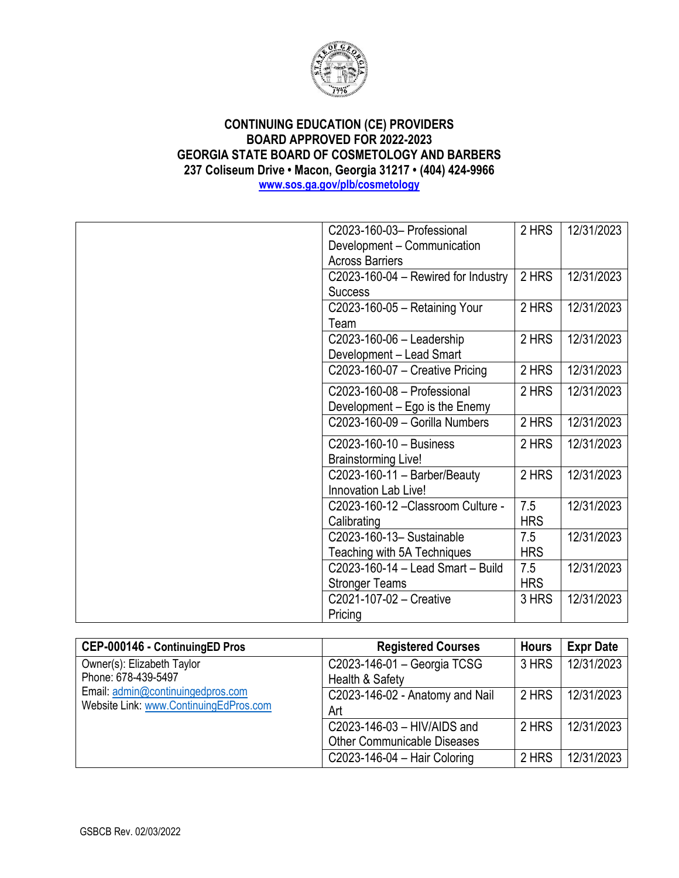

| C2023-160-03- Professional          | 2 HRS      | 12/31/2023 |
|-------------------------------------|------------|------------|
| Development - Communication         |            |            |
| <b>Across Barriers</b>              |            |            |
| C2023-160-04 - Rewired for Industry | 2 HRS      | 12/31/2023 |
| <b>Success</b>                      |            |            |
| C2023-160-05 - Retaining Your       | 2 HRS      | 12/31/2023 |
| Team                                |            |            |
| C2023-160-06 - Leadership           | 2 HRS      | 12/31/2023 |
| Development - Lead Smart            |            |            |
| C2023-160-07 - Creative Pricing     | 2 HRS      | 12/31/2023 |
| C2023-160-08 - Professional         | 2 HRS      | 12/31/2023 |
| Development – Ego is the Enemy      |            |            |
| C2023-160-09 - Gorilla Numbers      | 2 HRS      | 12/31/2023 |
| C2023-160-10 - Business             | 2 HRS      | 12/31/2023 |
| <b>Brainstorming Live!</b>          |            |            |
| $C2023-160-11 - Barber/Beauty$      | 2 HRS      | 12/31/2023 |
| Innovation Lab Live!                |            |            |
| C2023-160-12-Classroom Culture -    | 7.5        | 12/31/2023 |
| Calibrating                         | <b>HRS</b> |            |
| C2023-160-13- Sustainable           | 7.5        | 12/31/2023 |
| Teaching with 5A Techniques         | <b>HRS</b> |            |
| C2023-160-14 - Lead Smart - Build   | 7.5        | 12/31/2023 |
| <b>Stronger Teams</b>               | <b>HRS</b> |            |
| C2021-107-02 - Creative             | 3 HRS      | 12/31/2023 |
| Pricing                             |            |            |

| CEP-000146 - ContinuingED Pros         | <b>Registered Courses</b>          | <b>Hours</b> | <b>Expr Date</b> |
|----------------------------------------|------------------------------------|--------------|------------------|
| Owner(s): Elizabeth Taylor             | C2023-146-01 - Georgia TCSG        | 3 HRS        | 12/31/2023       |
| Phone: 678-439-5497                    | Health & Safety                    |              |                  |
| Email: admin@continuingedpros.com      | C2023-146-02 - Anatomy and Nail    | 2 HRS        | 12/31/2023       |
| Website Link: www.ContinuingEdPros.com | Art                                |              |                  |
|                                        | $C2023-146-03 - HIV/AIDS$ and      | 2 HRS        | 12/31/2023       |
|                                        | <b>Other Communicable Diseases</b> |              |                  |
|                                        | C2023-146-04 - Hair Coloring       | 2 HRS        | 12/31/2023       |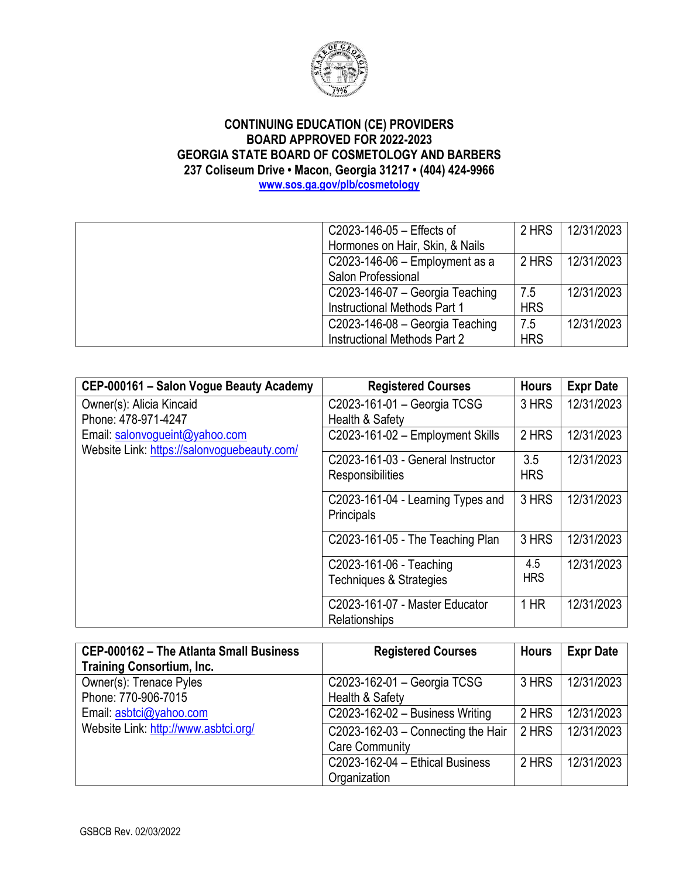

| C2023-146-05 - Effects of           | 2 HRS      | 12/31/2023 |
|-------------------------------------|------------|------------|
| Hormones on Hair, Skin, & Nails     |            |            |
| C2023-146-06 $-$ Employment as a    | 2 HRS      | 12/31/2023 |
| Salon Professional                  |            |            |
| C2023-146-07 - Georgia Teaching     | 7.5        | 12/31/2023 |
| <b>Instructional Methods Part 1</b> | <b>HRS</b> |            |
| $C2023-146-08 - Georgia Teaching$   | 7.5        | 12/31/2023 |
| Instructional Methods Part 2        | <b>HRS</b> |            |
|                                     |            |            |

| CEP-000161 - Salon Vogue Beauty Academy     | <b>Registered Courses</b>          | <b>Hours</b> | <b>Expr Date</b> |
|---------------------------------------------|------------------------------------|--------------|------------------|
| Owner(s): Alicia Kincaid                    | C2023-161-01 - Georgia TCSG        | 3 HRS        | 12/31/2023       |
| Phone: 478-971-4247                         | Health & Safety                    |              |                  |
| Email: salonvogueint@yahoo.com              | C2023-161-02 - Employment Skills   | 2 HRS        | 12/31/2023       |
| Website Link: https://salonvoguebeauty.com/ |                                    |              |                  |
|                                             | C2023-161-03 - General Instructor  | 3.5          | 12/31/2023       |
|                                             | Responsibilities                   | <b>HRS</b>   |                  |
|                                             | C2023-161-04 - Learning Types and  | 3 HRS        | 12/31/2023       |
|                                             | Principals                         |              |                  |
|                                             | C2023-161-05 - The Teaching Plan   | 3 HRS        | 12/31/2023       |
|                                             |                                    |              |                  |
|                                             | C2023-161-06 - Teaching            | 4.5          | 12/31/2023       |
|                                             | <b>Techniques &amp; Strategies</b> | <b>HRS</b>   |                  |
|                                             | C2023-161-07 - Master Educator     | $1$ HR       | 12/31/2023       |
|                                             | Relationships                      |              |                  |

| CEP-000162 - The Atlanta Small Business | <b>Registered Courses</b>          | <b>Hours</b> | <b>Expr Date</b> |
|-----------------------------------------|------------------------------------|--------------|------------------|
| <b>Training Consortium, Inc.</b>        |                                    |              |                  |
| Owner(s): Trenace Pyles                 | C2023-162-01 - Georgia TCSG        | 3 HRS        | 12/31/2023       |
| Phone: 770-906-7015                     | Health & Safety                    |              |                  |
| Email: asbtci@yahoo.com                 | $C2023-162-02 - Business Writing$  | 2 HRS        | 12/31/2023       |
| Website Link: http://www.asbtci.org/    | C2023-162-03 - Connecting the Hair | 2 HRS        | 12/31/2023       |
|                                         | <b>Care Community</b>              |              |                  |
|                                         | C2023-162-04 - Ethical Business    | 2 HRS        | 12/31/2023       |
|                                         | Organization                       |              |                  |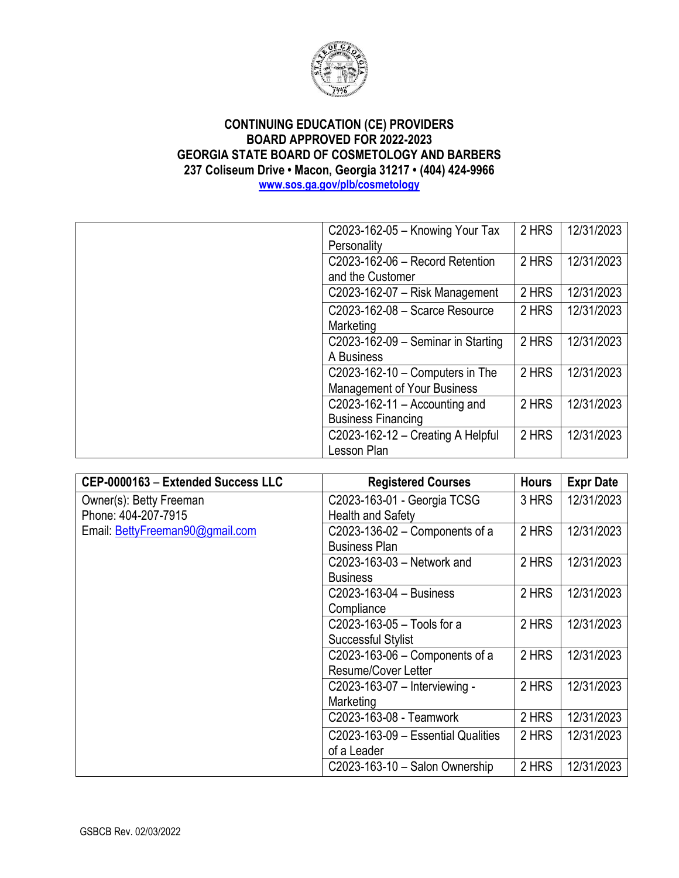

| C2023-162-05 - Knowing Your Tax    | 2 HRS | 12/31/2023 |
|------------------------------------|-------|------------|
| Personality                        |       |            |
| C2023-162-06 - Record Retention    | 2 HRS | 12/31/2023 |
| and the Customer                   |       |            |
| $C2023-162-07$ – Risk Management   | 2 HRS | 12/31/2023 |
| C2023-162-08 - Scarce Resource     | 2 HRS | 12/31/2023 |
| <b>Marketing</b>                   |       |            |
| C2023-162-09 - Seminar in Starting | 2 HRS | 12/31/2023 |
| A Business                         |       |            |
| $C2023-162-10 - Computers$ in The  | 2 HRS | 12/31/2023 |
| <b>Management of Your Business</b> |       |            |
| C2023-162-11 – Accounting and      | 2 HRS | 12/31/2023 |
| <b>Business Financing</b>          |       |            |
| C2023-162-12 - Creating A Helpful  | 2 HRS | 12/31/2023 |
| Lesson Plan                        |       |            |

| CEP-0000163 - Extended Success LLC | <b>Registered Courses</b>          | <b>Hours</b> | <b>Expr Date</b> |
|------------------------------------|------------------------------------|--------------|------------------|
| Owner(s): Betty Freeman            | C2023-163-01 - Georgia TCSG        | 3 HRS        | 12/31/2023       |
| Phone: 404-207-7915                | <b>Health and Safety</b>           |              |                  |
| Email: BettyFreeman90@gmail.com    | C2023-136-02 – Components of a     | 2 HRS        | 12/31/2023       |
|                                    | <b>Business Plan</b>               |              |                  |
|                                    | C2023-163-03 - Network and         | 2 HRS        | 12/31/2023       |
|                                    | <b>Business</b>                    |              |                  |
|                                    | C2023-163-04 - Business            | 2 HRS        | 12/31/2023       |
|                                    | Compliance                         |              |                  |
|                                    | C2023-163-05 - Tools for a         | 2 HRS        | 12/31/2023       |
|                                    | <b>Successful Stylist</b>          |              |                  |
|                                    | C2023-163-06 $-$ Components of a   | 2 HRS        | 12/31/2023       |
|                                    | Resume/Cover Letter                |              |                  |
|                                    | C2023-163-07 - Interviewing -      | 2 HRS        | 12/31/2023       |
|                                    | Marketing                          |              |                  |
|                                    | C2023-163-08 - Teamwork            | 2 HRS        | 12/31/2023       |
|                                    | C2023-163-09 - Essential Qualities | 2 HRS        | 12/31/2023       |
|                                    | of a Leader                        |              |                  |
|                                    | C2023-163-10 - Salon Ownership     | 2 HRS        | 12/31/2023       |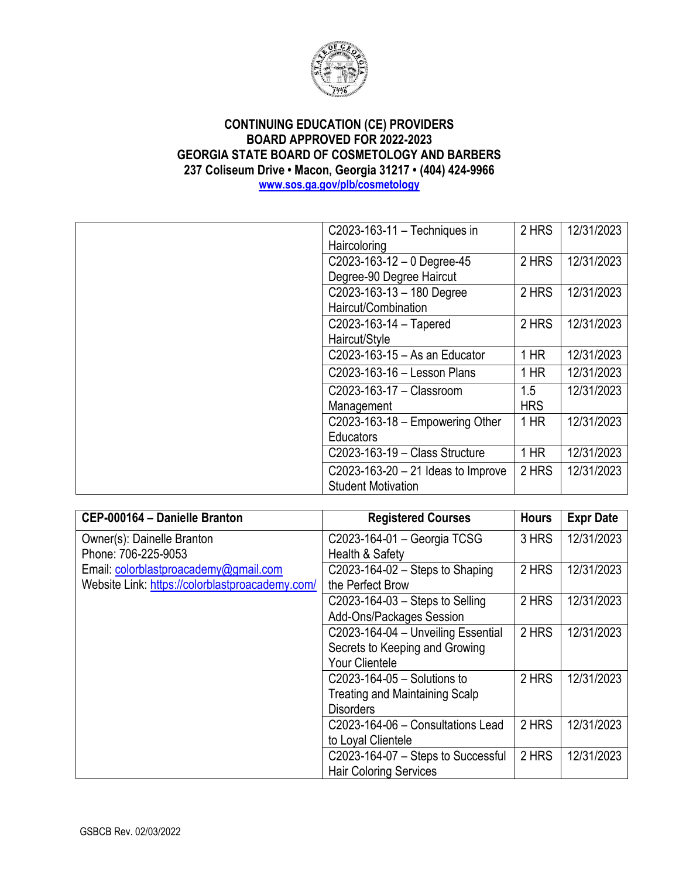

| C2023-163-11 - Techniques in         | 2 HRS      | 12/31/2023 |
|--------------------------------------|------------|------------|
| Haircoloring                         |            |            |
| $C2023-163-12-0$ Degree-45           | 2 HRS      | 12/31/2023 |
| Degree-90 Degree Haircut             |            |            |
| $C2023-163-13-180$ Degree            | 2 HRS      | 12/31/2023 |
| Haircut/Combination                  |            |            |
| C2023-163-14 - Tapered               | 2 HRS      | 12/31/2023 |
| Haircut/Style                        |            |            |
| C2023-163-15 - As an Educator        | $1$ HR     | 12/31/2023 |
| C2023-163-16 - Lesson Plans          | $1$ HR     | 12/31/2023 |
| C2023-163-17 - Classroom             | 1.5        | 12/31/2023 |
| Management                           | <b>HRS</b> |            |
| C2023-163-18 $-$ Empowering Other    | $1$ HR     | 12/31/2023 |
| <b>Educators</b>                     |            |            |
| C2023-163-19 - Class Structure       | $1$ HR     | 12/31/2023 |
| C2023-163-20 $-$ 21 Ideas to Improve | 2 HRS      | 12/31/2023 |
| <b>Student Motivation</b>            |            |            |

| CEP-000164 - Danielle Branton                   | <b>Registered Courses</b>             | <b>Hours</b> | <b>Expr Date</b> |
|-------------------------------------------------|---------------------------------------|--------------|------------------|
| Owner(s): Dainelle Branton                      | C2023-164-01 - Georgia TCSG           | 3 HRS        | 12/31/2023       |
| Phone: 706-225-9053                             | Health & Safety                       |              |                  |
| Email: colorblastproacademy@gmail.com           | C2023-164-02 – Steps to Shaping       | 2 HRS        | 12/31/2023       |
| Website Link: https://colorblastproacademy.com/ | the Perfect Brow                      |              |                  |
|                                                 | $C2023-164-03 -$ Steps to Selling     | 2 HRS        | 12/31/2023       |
|                                                 | <b>Add-Ons/Packages Session</b>       |              |                  |
|                                                 | C2023-164-04 - Unveiling Essential    | 2 HRS        | 12/31/2023       |
|                                                 | Secrets to Keeping and Growing        |              |                  |
|                                                 | <b>Your Clientele</b>                 |              |                  |
|                                                 | C2023-164-05 - Solutions to           | 2 HRS        | 12/31/2023       |
|                                                 | <b>Treating and Maintaining Scalp</b> |              |                  |
|                                                 | <b>Disorders</b>                      |              |                  |
|                                                 | C2023-164-06 - Consultations Lead     | 2 HRS        | 12/31/2023       |
|                                                 | to Loyal Clientele                    |              |                  |
|                                                 | C2023-164-07 - Steps to Successful    | 2 HRS        | 12/31/2023       |
|                                                 | <b>Hair Coloring Services</b>         |              |                  |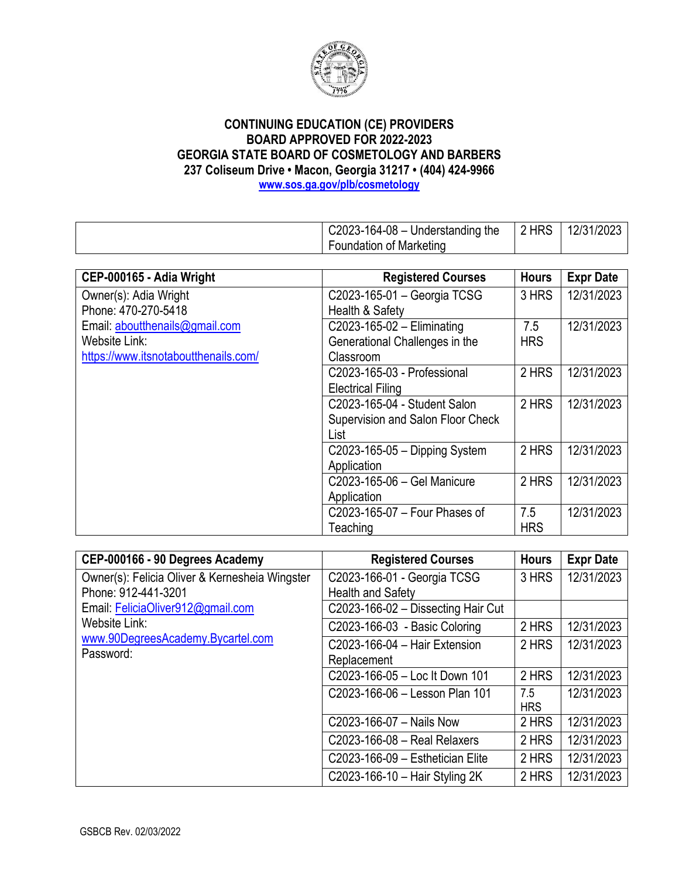

| $C2023-164-08$ – Understanding the | 2 HRS | 12/31/2023 |
|------------------------------------|-------|------------|
| Foundation of Marketing            |       |            |

| CEP-000165 - Adia Wright             | <b>Registered Courses</b>         | <b>Hours</b> | <b>Expr Date</b> |
|--------------------------------------|-----------------------------------|--------------|------------------|
| Owner(s): Adia Wright                | C2023-165-01 - Georgia TCSG       | 3 HRS        | 12/31/2023       |
| Phone: 470-270-5418                  | Health & Safety                   |              |                  |
| Email: aboutthenails@gmail.com       | C2023-165-02 - Eliminating        | 7.5          | 12/31/2023       |
| Website Link:                        | Generational Challenges in the    | <b>HRS</b>   |                  |
| https://www.itsnotaboutthenails.com/ | Classroom                         |              |                  |
|                                      | C2023-165-03 - Professional       | 2 HRS        | 12/31/2023       |
|                                      | <b>Electrical Filing</b>          |              |                  |
|                                      | C2023-165-04 - Student Salon      | 2 HRS        | 12/31/2023       |
|                                      | Supervision and Salon Floor Check |              |                  |
|                                      | List                              |              |                  |
|                                      | $C2023-165-05$ - Dipping System   | 2 HRS        | 12/31/2023       |
|                                      | Application                       |              |                  |
|                                      | C2023-165-06 - Gel Manicure       | 2 HRS        | 12/31/2023       |
|                                      | Application                       |              |                  |
|                                      | C2023-165-07 - Four Phases of     | 7.5          | 12/31/2023       |
|                                      | Teaching                          | <b>HRS</b>   |                  |

| CEP-000166 - 90 Degrees Academy                | <b>Registered Courses</b>          | <b>Hours</b>      | <b>Expr Date</b> |
|------------------------------------------------|------------------------------------|-------------------|------------------|
| Owner(s): Felicia Oliver & Kernesheia Wingster | C2023-166-01 - Georgia TCSG        | 3 HRS             | 12/31/2023       |
| Phone: 912-441-3201                            | <b>Health and Safety</b>           |                   |                  |
| Email: FeliciaOliver912@gmail.com              | C2023-166-02 - Dissecting Hair Cut |                   |                  |
| Website Link:                                  | C2023-166-03 - Basic Coloring      | 2 HRS             | 12/31/2023       |
| www.90DegreesAcademy.Bycartel.com              | C2023-166-04 - Hair Extension      | 2 HRS             | 12/31/2023       |
| Password:                                      | Replacement                        |                   |                  |
|                                                | C2023-166-05 - Loc It Down 101     | 2 HRS             | 12/31/2023       |
|                                                | C2023-166-06 - Lesson Plan 101     | 7.5<br><b>HRS</b> | 12/31/2023       |
|                                                | C2023-166-07 - Nails Now           | 2 HRS             | 12/31/2023       |
|                                                | C2023-166-08 - Real Relaxers       | 2 HRS             | 12/31/2023       |
|                                                | C2023-166-09 - Esthetician Elite   | 2 HRS             | 12/31/2023       |
|                                                | C2023-166-10 - Hair Styling 2K     | 2 HRS             | 12/31/2023       |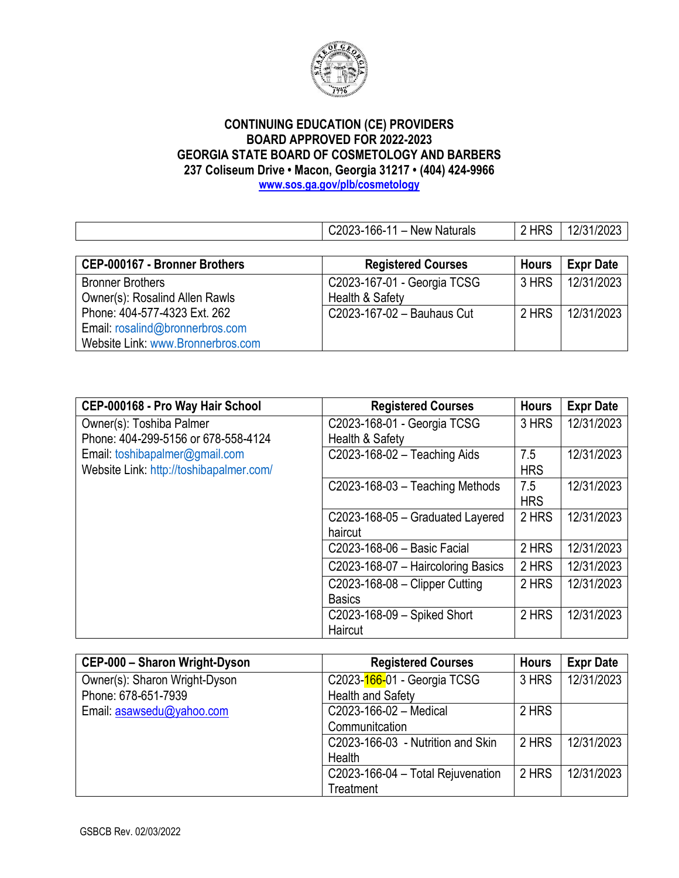

C2023-166-11 – New Naturals | 2 HRS | 12/31/2023 **CEP-000167 - Bronner Brothers Registered Courses** | Hours | Expr Date Bronner Brothers Owner(s): Rosalind Allen Rawls Phone: 404-577-4323 Ext. 262 Email: [rosalind@bronnerbros.com](mailto:rosalind@bronnerbros.com) Website Link: [www.Bronnerbros.com](http://www.bronnerbros.com/) C2023-167-01 - Georgia TCSG Health & Safety 3 HRS 12/31/2023 C2023-167-02 – Bauhaus Cut  $\vert$  2 HRS  $\vert$  12/31/2023

| CEP-000168 - Pro Way Hair School        | <b>Registered Courses</b>          | <b>Hours</b> | <b>Expr Date</b> |
|-----------------------------------------|------------------------------------|--------------|------------------|
| Owner(s): Toshiba Palmer                | C2023-168-01 - Georgia TCSG        | 3 HRS        | 12/31/2023       |
| Phone: 404-299-5156 or 678-558-4124     | Health & Safety                    |              |                  |
| Email: toshibapalmer@gmail.com          | C2023-168-02 - Teaching Aids       | 7.5          | 12/31/2023       |
| Website Link: http://toshibapalmer.com/ |                                    | <b>HRS</b>   |                  |
|                                         | $C2023-168-03$ - Teaching Methods  | 7.5          | 12/31/2023       |
|                                         |                                    | <b>HRS</b>   |                  |
|                                         | C2023-168-05 - Graduated Layered   | 2 HRS        | 12/31/2023       |
|                                         | haircut                            |              |                  |
|                                         | C2023-168-06 - Basic Facial        | 2 HRS        | 12/31/2023       |
|                                         | C2023-168-07 - Haircoloring Basics | 2 HRS        | 12/31/2023       |
|                                         | $C2023-168-08$ - Clipper Cutting   | 2 HRS        | 12/31/2023       |
|                                         | <b>Basics</b>                      |              |                  |
|                                         | C2023-168-09 - Spiked Short        | 2 HRS        | 12/31/2023       |
|                                         | Haircut                            |              |                  |

| CEP-000 - Sharon Wright-Dyson | <b>Registered Courses</b>         | <b>Hours</b> | <b>Expr Date</b> |
|-------------------------------|-----------------------------------|--------------|------------------|
| Owner(s): Sharon Wright-Dyson | C2023-166-01 - Georgia TCSG       | 3 HRS        | 12/31/2023       |
| Phone: 678-651-7939           | <b>Health and Safety</b>          |              |                  |
| Email: asawsedu@yahoo.com     | C2023-166-02 - Medical            | 2 HRS        |                  |
|                               | Communitcation                    |              |                  |
|                               | C2023-166-03 - Nutrition and Skin | 2 HRS        | 12/31/2023       |
|                               | Health                            |              |                  |
|                               | C2023-166-04 - Total Rejuvenation | 2 HRS        | 12/31/2023       |
|                               | Treatment                         |              |                  |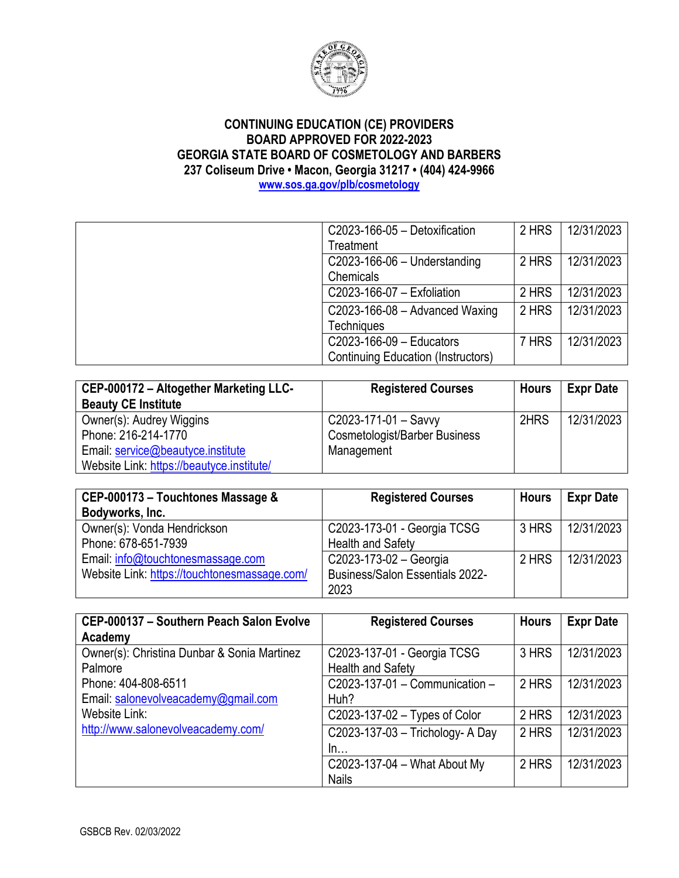

C2023-166-05 – Detoxification **Treatment** 2 HRS 12/31/2023 C2023-166-06 – Understanding **Chemicals** 2 HRS 12/31/2023 C2023-166-07 – Exfoliation | 2 HRS | 12/31/2023 C2023-166-08 – Advanced Waxing **Techniques** 2 HRS 12/31/2023 C2023-166-09 – Educators Continuing Education (Instructors) 7 HRS 12/31/2023

#### **CEP-000172 – Altogether Marketing LLC-Beauty CE Institute Registered Courses** | Hours | Expr Date Owner(s): Audrey Wiggins Phone: 216-214-1770 Email: [service@beautyce.institute](mailto:service@beautyce.institute) Website Link:<https://beautyce.institute/> C2023-171-01 – Savvy Cosmetologist/Barber Business Management 2HRS 12/31/2023

| CEP-000173 - Touchtones Massage &            | <b>Registered Courses</b>              | <b>Hours</b> | <b>Expr Date</b> |
|----------------------------------------------|----------------------------------------|--------------|------------------|
| Bodyworks, Inc.                              |                                        |              |                  |
| Owner(s): Vonda Hendrickson                  | C2023-173-01 - Georgia TCSG            | 3 HRS        | 12/31/2023       |
| Phone: 678-651-7939                          | <b>Health and Safety</b>               |              |                  |
| Email: info@touchtonesmassage.com            | C2023-173-02 - Georgia                 | 2 HRS        | 12/31/2023       |
| Website Link: https://touchtonesmassage.com/ | <b>Business/Salon Essentials 2022-</b> |              |                  |
|                                              | 2023                                   |              |                  |

| CEP-000137 - Southern Peach Salon Evolve    | <b>Registered Courses</b>        | <b>Hours</b> | <b>Expr Date</b> |
|---------------------------------------------|----------------------------------|--------------|------------------|
| Academy                                     |                                  |              |                  |
| Owner(s): Christina Dunbar & Sonia Martinez | C2023-137-01 - Georgia TCSG      | 3 HRS        | 12/31/2023       |
| Palmore                                     | <b>Health and Safety</b>         |              |                  |
| Phone: 404-808-6511                         | C2023-137-01 - Communication -   | 2 HRS        | 12/31/2023       |
| Email: salonevolveacademy@gmail.com         | Huh?                             |              |                  |
| Website Link:                               | C2023-137-02 - Types of Color    | 2 HRS        | 12/31/2023       |
| http://www.salonevolveacademy.com/          | C2023-137-03 - Trichology- A Day | 2 HRS        | 12/31/2023       |
|                                             | In                               |              |                  |
|                                             | C2023-137-04 - What About My     | 2 HRS        | 12/31/2023       |
|                                             | <b>Nails</b>                     |              |                  |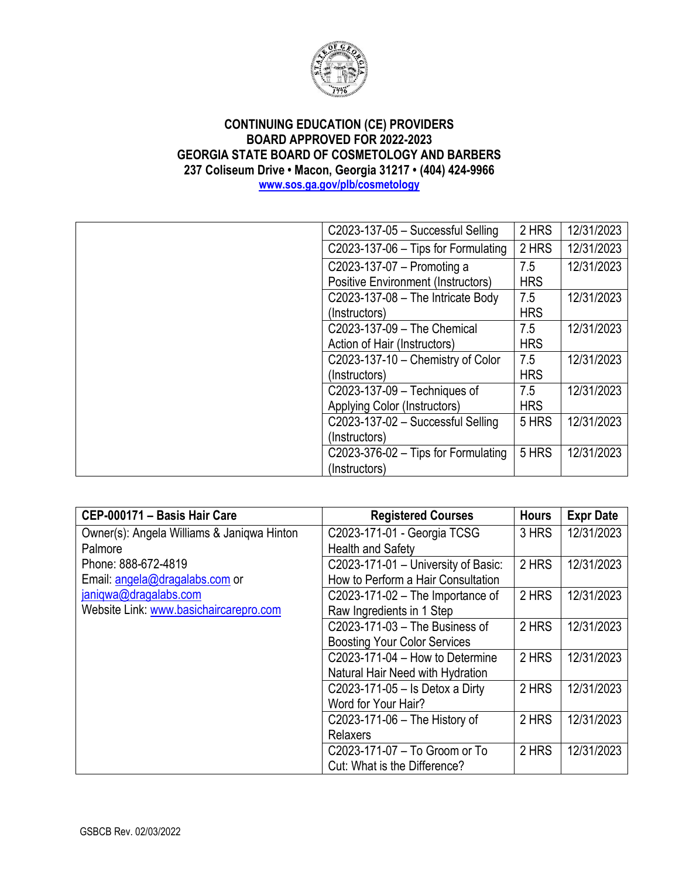

| C2023-137-05 - Successful Selling         | 2 HRS      | 12/31/2023 |
|-------------------------------------------|------------|------------|
| $C2023-137-06$ – Tips for Formulating     | 2 HRS      | 12/31/2023 |
| C2023-137-07 - Promoting a                | 7.5        | 12/31/2023 |
| <b>Positive Environment (Instructors)</b> | <b>HRS</b> |            |
| C2023-137-08 - The Intricate Body         | 7.5        | 12/31/2023 |
| (Instructors)                             | <b>HRS</b> |            |
| C2023-137-09 - The Chemical               | 7.5        | 12/31/2023 |
| Action of Hair (Instructors)              | <b>HRS</b> |            |
| C2023-137-10 - Chemistry of Color         | 7.5        | 12/31/2023 |
| (Instructors)                             | <b>HRS</b> |            |
| C2023-137-09 - Techniques of              | 7.5        | 12/31/2023 |
| Applying Color (Instructors)              | <b>HRS</b> |            |
| C2023-137-02 - Successful Selling         | 5 HRS      | 12/31/2023 |
| (Instructors)                             |            |            |
| $C2023-376-02$ – Tips for Formulating     | 5 HRS      | 12/31/2023 |
| (Instructors)                             |            |            |

| CEP-000171 - Basis Hair Care               | <b>Registered Courses</b>           | <b>Hours</b> | <b>Expr Date</b> |
|--------------------------------------------|-------------------------------------|--------------|------------------|
| Owner(s): Angela Williams & Janiqwa Hinton | C2023-171-01 - Georgia TCSG         | 3 HRS        | 12/31/2023       |
| Palmore                                    | <b>Health and Safety</b>            |              |                  |
| Phone: 888-672-4819                        | C2023-171-01 - University of Basic: | 2 HRS        | 12/31/2023       |
| Email: angela@dragalabs.com or             | How to Perform a Hair Consultation  |              |                  |
| janiqwa@dragalabs.com                      | C2023-171-02 $-$ The Importance of  | 2 HRS        | 12/31/2023       |
| Website Link: www.basichaircarepro.com     | Raw Ingredients in 1 Step           |              |                  |
|                                            | C2023-171-03 - The Business of      | 2 HRS        | 12/31/2023       |
|                                            | <b>Boosting Your Color Services</b> |              |                  |
|                                            | $C2023-171-04$ – How to Determine   | 2 HRS        | 12/31/2023       |
|                                            | Natural Hair Need with Hydration    |              |                  |
|                                            | C2023-171-05 - Is Detox a Dirty     | 2 HRS        | 12/31/2023       |
|                                            | Word for Your Hair?                 |              |                  |
|                                            | C2023-171-06 - The History of       | 2 HRS        | 12/31/2023       |
|                                            | Relaxers                            |              |                  |
|                                            | C2023-171-07 - To Groom or To       | 2 HRS        | 12/31/2023       |
|                                            | Cut: What is the Difference?        |              |                  |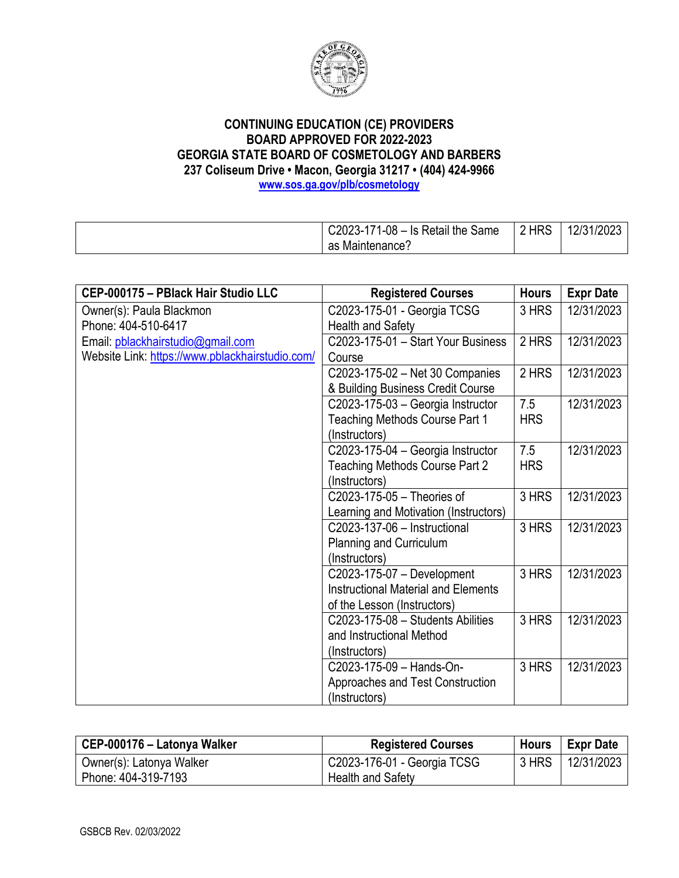

| Same<br>$C2023-17$<br>$-80-$<br>Is Retail the \ | <b>HRS</b> | /2023<br>10124<br>л |
|-------------------------------------------------|------------|---------------------|
| Naintenance':<br>as                             |            |                     |

| CEP-000175 - PBlack Hair Studio LLC             | <b>Registered Courses</b>                  | <b>Hours</b> | <b>Expr Date</b> |
|-------------------------------------------------|--------------------------------------------|--------------|------------------|
| Owner(s): Paula Blackmon                        | C2023-175-01 - Georgia TCSG                | 3 HRS        | 12/31/2023       |
| Phone: 404-510-6417                             | <b>Health and Safety</b>                   |              |                  |
| Email: pblackhairstudio@gmail.com               | C2023-175-01 - Start Your Business         | 2 HRS        | 12/31/2023       |
| Website Link: https://www.pblackhairstudio.com/ | Course                                     |              |                  |
|                                                 | C2023-175-02 - Net 30 Companies            | 2 HRS        | 12/31/2023       |
|                                                 | & Building Business Credit Course          |              |                  |
|                                                 | C2023-175-03 - Georgia Instructor          | 7.5          | 12/31/2023       |
|                                                 | Teaching Methods Course Part 1             | <b>HRS</b>   |                  |
|                                                 | (Instructors)                              |              |                  |
|                                                 | C2023-175-04 - Georgia Instructor          | 7.5          | 12/31/2023       |
|                                                 | Teaching Methods Course Part 2             | <b>HRS</b>   |                  |
|                                                 | (Instructors)                              |              |                  |
|                                                 | C2023-175-05 - Theories of                 | 3 HRS        | 12/31/2023       |
|                                                 | Learning and Motivation (Instructors)      |              |                  |
|                                                 | C2023-137-06 - Instructional               | 3 HRS        | 12/31/2023       |
|                                                 | Planning and Curriculum                    |              |                  |
|                                                 | (Instructors)                              |              |                  |
|                                                 | C2023-175-07 - Development                 | 3 HRS        | 12/31/2023       |
|                                                 | <b>Instructional Material and Elements</b> |              |                  |
|                                                 | of the Lesson (Instructors)                |              |                  |
|                                                 | C2023-175-08 - Students Abilities          | 3 HRS        | 12/31/2023       |
|                                                 | and Instructional Method                   |              |                  |
|                                                 | (Instructors)                              |              |                  |
|                                                 | C2023-175-09 - Hands-On-                   | 3 HRS        | 12/31/2023       |
|                                                 | Approaches and Test Construction           |              |                  |
|                                                 | (Instructors)                              |              |                  |

| CEP-000176 – Latonya Walker | <b>Registered Courses</b>   | <b>Hours</b> | <b>Expr Date</b> |
|-----------------------------|-----------------------------|--------------|------------------|
| Owner(s): Latonya Walker    | C2023-176-01 - Georgia TCSG | 3 HRS        | 12/31/2023       |
| Phone: 404-319-7193         | <b>Health and Safety</b>    |              |                  |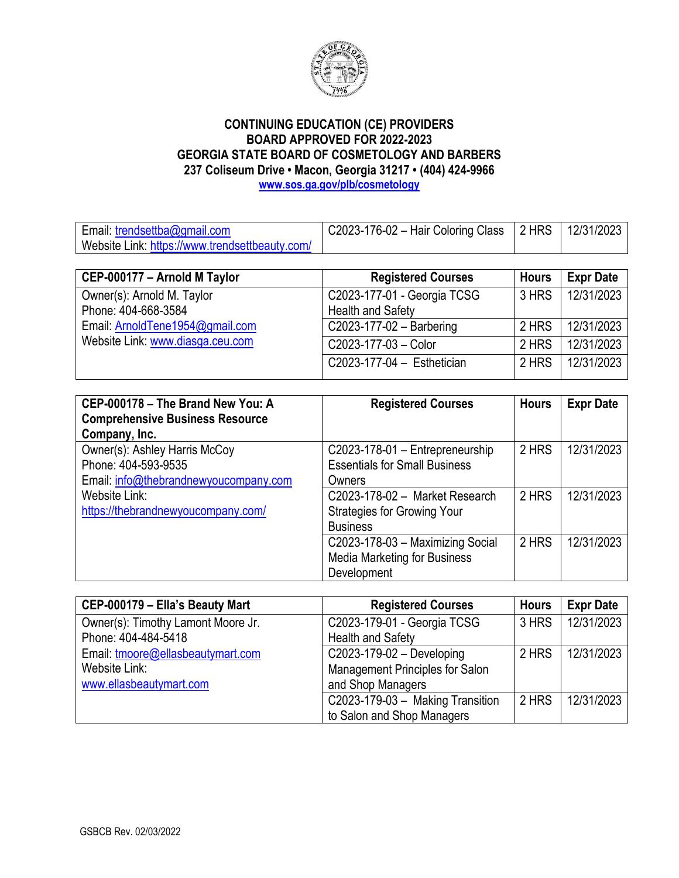

Email: [trendsettba@gmail.com](mailto:trendsettba@gmail.com) Website Link:<https://www.trendsettbeauty.com/> C2023-176-02 – Hair Coloring Class 2 HRS 12/31/2023

| CEP-000177 - Arnold M Taylor     | <b>Registered Courses</b>    | <b>Hours</b> | <b>Expr Date</b> |
|----------------------------------|------------------------------|--------------|------------------|
| Owner(s): Arnold M. Taylor       | C2023-177-01 - Georgia TCSG  | 3 HRS        | 12/31/2023       |
| Phone: 404-668-3584              | <b>Health and Safety</b>     |              |                  |
| Email: ArnoldTene1954@gmail.com  | $C2023-177-02 - B$ arbering  | 2 HRS        | 12/31/2023       |
| Website Link: www.diasga.ceu.com | C2023-177-03 - Color         | 2 HRS        | 12/31/2023       |
|                                  | $C2023-177-04 - Esthetician$ | 2 HRS        | 12/31/2023       |

| CEP-000178 - The Brand New You: A<br><b>Comprehensive Business Resource</b><br>Company, Inc. | <b>Registered Courses</b>            | <b>Hours</b> | <b>Expr Date</b> |
|----------------------------------------------------------------------------------------------|--------------------------------------|--------------|------------------|
| Owner(s): Ashley Harris McCoy                                                                | C2023-178-01 - Entrepreneurship      | 2 HRS        | 12/31/2023       |
| Phone: 404-593-9535                                                                          | <b>Essentials for Small Business</b> |              |                  |
| Email: info@thebrandnewyoucompany.com                                                        | Owners                               |              |                  |
| Website Link:                                                                                | C2023-178-02 - Market Research       | 2 HRS        | 12/31/2023       |
| https://thebrandnewyoucompany.com/                                                           | <b>Strategies for Growing Your</b>   |              |                  |
|                                                                                              | <b>Business</b>                      |              |                  |
|                                                                                              | C2023-178-03 - Maximizing Social     | 2 HRS        | 12/31/2023       |
|                                                                                              | <b>Media Marketing for Business</b>  |              |                  |
|                                                                                              | Development                          |              |                  |

| CEP-000179 - Ella's Beauty Mart    | <b>Registered Courses</b>        | <b>Hours</b> | <b>Expr Date</b> |
|------------------------------------|----------------------------------|--------------|------------------|
| Owner(s): Timothy Lamont Moore Jr. | C2023-179-01 - Georgia TCSG      | 3 HRS        | 12/31/2023       |
| Phone: 404-484-5418                | <b>Health and Safety</b>         |              |                  |
| Email: tmoore@ellasbeautymart.com  | $C2023-179-02 - Development$     | 2 HRS        | 12/31/2023       |
| Website Link:                      | Management Principles for Salon  |              |                  |
| www.ellasbeautymart.com            | and Shop Managers                |              |                  |
|                                    | C2023-179-03 - Making Transition | 2 HRS        | 12/31/2023       |
|                                    | to Salon and Shop Managers       |              |                  |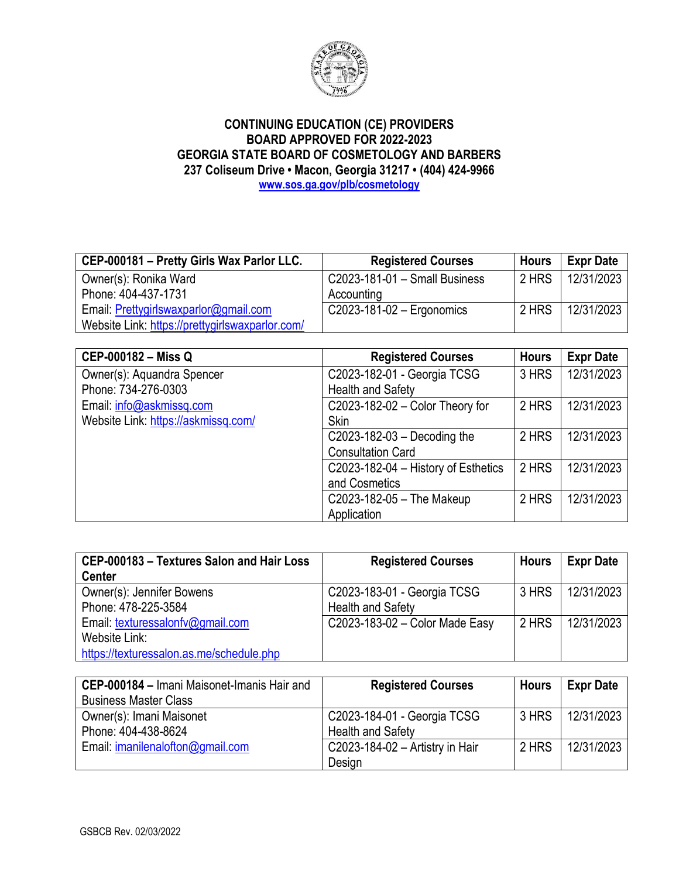

| CEP-000181 - Pretty Girls Wax Parlor LLC.       | <b>Registered Courses</b>     | <b>Hours</b> | <b>Expr Date</b> |
|-------------------------------------------------|-------------------------------|--------------|------------------|
| Owner(s): Ronika Ward                           | C2023-181-01 - Small Business | 2 HRS        | 12/31/2023       |
| Phone: 404-437-1731                             | Accounting                    |              |                  |
| Email: Prettygirlswaxparlor@gmail.com           | $C2023-181-02$ - Ergonomics   | 2 HRS        | 12/31/2023       |
| Website Link: https://prettygirlswaxparlor.com/ |                               |              |                  |

| <b>CEP-000182 - Miss Q</b>          | <b>Registered Courses</b>           | <b>Hours</b> | <b>Expr Date</b> |
|-------------------------------------|-------------------------------------|--------------|------------------|
| Owner(s): Aquandra Spencer          | C2023-182-01 - Georgia TCSG         | 3 HRS        | 12/31/2023       |
| Phone: 734-276-0303                 | <b>Health and Safety</b>            |              |                  |
| Email: info@askmissq.com            | C2023-182-02 - Color Theory for     | 2 HRS        | 12/31/2023       |
| Website Link: https://askmissq.com/ | <b>Skin</b>                         |              |                  |
|                                     | C2023-182-03 $-$ Decoding the       | 2 HRS        | 12/31/2023       |
|                                     | <b>Consultation Card</b>            |              |                  |
|                                     | C2023-182-04 - History of Esthetics | 2 HRS        | 12/31/2023       |
|                                     | and Cosmetics                       |              |                  |
|                                     | C2023-182-05 - The Makeup           | 2 HRS        | 12/31/2023       |
|                                     | Application                         |              |                  |

| CEP-000183 - Textures Salon and Hair Loss | <b>Registered Courses</b>      | <b>Hours</b> | <b>Expr Date</b> |
|-------------------------------------------|--------------------------------|--------------|------------------|
| <b>Center</b>                             |                                |              |                  |
| Owner(s): Jennifer Bowens                 | C2023-183-01 - Georgia TCSG    | 3 HRS        | 12/31/2023       |
| Phone: 478-225-3584                       | <b>Health and Safety</b>       |              |                  |
| Email: texturessalonfv@gmail.com          | C2023-183-02 - Color Made Easy | 2 HRS        | 12/31/2023       |
| Website Link:                             |                                |              |                  |
| https://texturessalon.as.me/schedule.php  |                                |              |                  |

| CEP-000184 - Imani Maisonet-Imanis Hair and | <b>Registered Courses</b>       | <b>Hours</b> | <b>Expr Date</b> |
|---------------------------------------------|---------------------------------|--------------|------------------|
| <b>Business Master Class</b>                |                                 |              |                  |
| Owner(s): Imani Maisonet                    | C2023-184-01 - Georgia TCSG     | 3 HRS        | 12/31/2023       |
| Phone: 404-438-8624                         | <b>Health and Safety</b>        |              |                  |
| Email: imanilenalofton@gmail.com            | C2023-184-02 - Artistry in Hair | 2 HRS        | 12/31/2023       |
|                                             | Design                          |              |                  |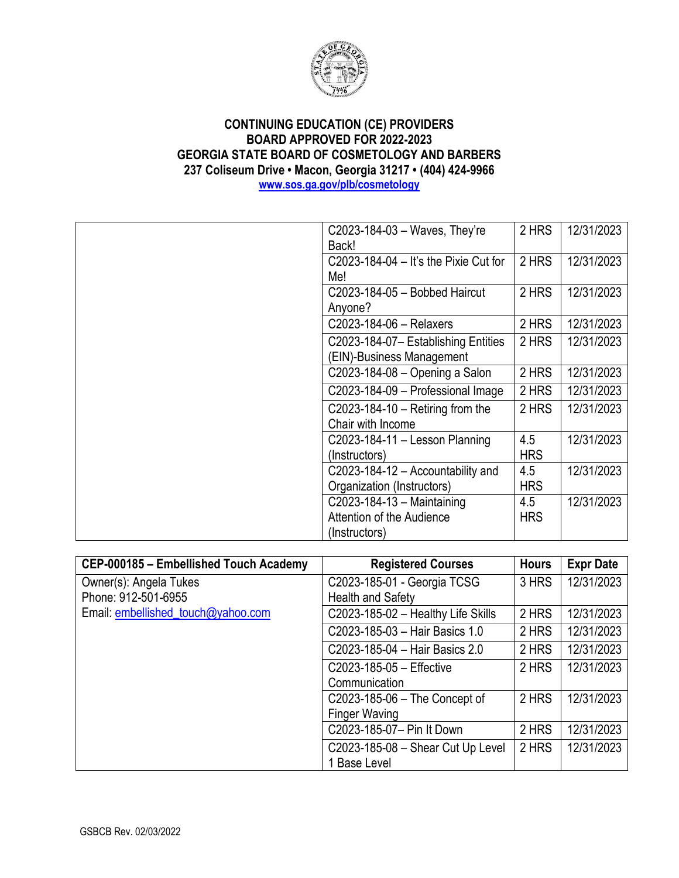

| C2023-184-03 - Waves, They're          | 2 HRS      | 12/31/2023 |
|----------------------------------------|------------|------------|
| Back!                                  |            |            |
| $C2023-184-04 - It's the Prix Cut for$ | 2 HRS      | 12/31/2023 |
| Me!                                    |            |            |
| C2023-184-05 - Bobbed Haircut          | 2 HRS      | 12/31/2023 |
| Anyone?                                |            |            |
| C2023-184-06 - Relaxers                | 2 HRS      | 12/31/2023 |
| C2023-184-07- Establishing Entities    | 2 HRS      | 12/31/2023 |
| (EIN)-Business Management              |            |            |
| C2023-184-08 - Opening a Salon         | 2 HRS      | 12/31/2023 |
| C2023-184-09 - Professional Image      | 2 HRS      | 12/31/2023 |
| C2023-184-10 $-$ Retiring from the     | 2 HRS      | 12/31/2023 |
| Chair with Income                      |            |            |
| $C2023-184-11 -$ Lesson Planning       | 4.5        | 12/31/2023 |
| (Instructors)                          | <b>HRS</b> |            |
| C2023-184-12 - Accountability and      | 4.5        | 12/31/2023 |
| Organization (Instructors)             | <b>HRS</b> |            |
| C2023-184-13 - Maintaining             | 4.5        | 12/31/2023 |
| Attention of the Audience              | <b>HRS</b> |            |
| (Instructors)                          |            |            |

| CEP-000185 - Embellished Touch Academy | <b>Registered Courses</b>          | <b>Hours</b> | <b>Expr Date</b> |
|----------------------------------------|------------------------------------|--------------|------------------|
| Owner(s): Angela Tukes                 | C2023-185-01 - Georgia TCSG        | 3 HRS        | 12/31/2023       |
| Phone: 912-501-6955                    | Health and Safety                  |              |                  |
| Email: embellished_touch@yahoo.com     | C2023-185-02 - Healthy Life Skills | 2 HRS        | 12/31/2023       |
|                                        | C2023-185-03 - Hair Basics 1.0     | 2 HRS        | 12/31/2023       |
|                                        | C2023-185-04 - Hair Basics 2.0     | 2 HRS        | 12/31/2023       |
|                                        | C2023-185-05 - Effective           | 2 HRS        | 12/31/2023       |
|                                        | Communication                      |              |                  |
|                                        | C2023-185-06 - The Concept of      | 2 HRS        | 12/31/2023       |
|                                        | <b>Finger Waving</b>               |              |                  |
|                                        | C2023-185-07- Pin It Down          | 2 HRS        | 12/31/2023       |
|                                        | C2023-185-08 - Shear Cut Up Level  | 2 HRS        | 12/31/2023       |
|                                        | 1 Base Level                       |              |                  |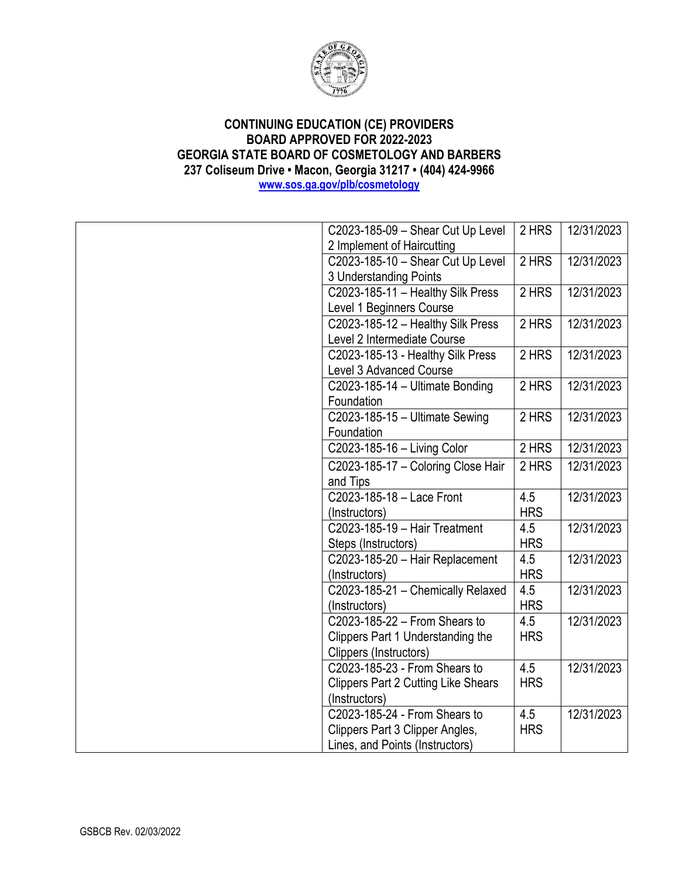

| C2023-185-09 - Shear Cut Up Level          | 2 HRS      | 12/31/2023 |
|--------------------------------------------|------------|------------|
| 2 Implement of Haircutting                 |            |            |
| C2023-185-10 - Shear Cut Up Level          | 2 HRS      | 12/31/2023 |
| 3 Understanding Points                     |            |            |
| C2023-185-11 - Healthy Silk Press          | 2 HRS      | 12/31/2023 |
| Level 1 Beginners Course                   |            |            |
| C2023-185-12 - Healthy Silk Press          | 2 HRS      | 12/31/2023 |
| Level 2 Intermediate Course                |            |            |
| C2023-185-13 - Healthy Silk Press          | 2 HRS      | 12/31/2023 |
| Level 3 Advanced Course                    |            |            |
| C2023-185-14 - Ultimate Bonding            | 2 HRS      | 12/31/2023 |
| Foundation                                 |            |            |
| C2023-185-15 - Ultimate Sewing             | 2 HRS      | 12/31/2023 |
| Foundation                                 |            |            |
| C2023-185-16 - Living Color                | 2 HRS      | 12/31/2023 |
| C2023-185-17 - Coloring Close Hair         | 2 HRS      | 12/31/2023 |
| and Tips                                   |            |            |
| C2023-185-18 - Lace Front                  | 4.5        | 12/31/2023 |
| (Instructors)                              | <b>HRS</b> |            |
| C2023-185-19 - Hair Treatment              | 4.5        | 12/31/2023 |
| Steps (Instructors)                        | <b>HRS</b> |            |
| C2023-185-20 - Hair Replacement            | 4.5        | 12/31/2023 |
| (Instructors)                              | <b>HRS</b> |            |
| C2023-185-21 - Chemically Relaxed          | 4.5        | 12/31/2023 |
| (Instructors)                              | <b>HRS</b> |            |
| C2023-185-22 - From Shears to              | 4.5        | 12/31/2023 |
| Clippers Part 1 Understanding the          | <b>HRS</b> |            |
| Clippers (Instructors)                     |            |            |
| C2023-185-23 - From Shears to              | 4.5        | 12/31/2023 |
| <b>Clippers Part 2 Cutting Like Shears</b> | <b>HRS</b> |            |
| (Instructors)                              |            |            |
| C2023-185-24 - From Shears to              | 4.5        | 12/31/2023 |
| Clippers Part 3 Clipper Angles,            | <b>HRS</b> |            |
| Lines, and Points (Instructors)            |            |            |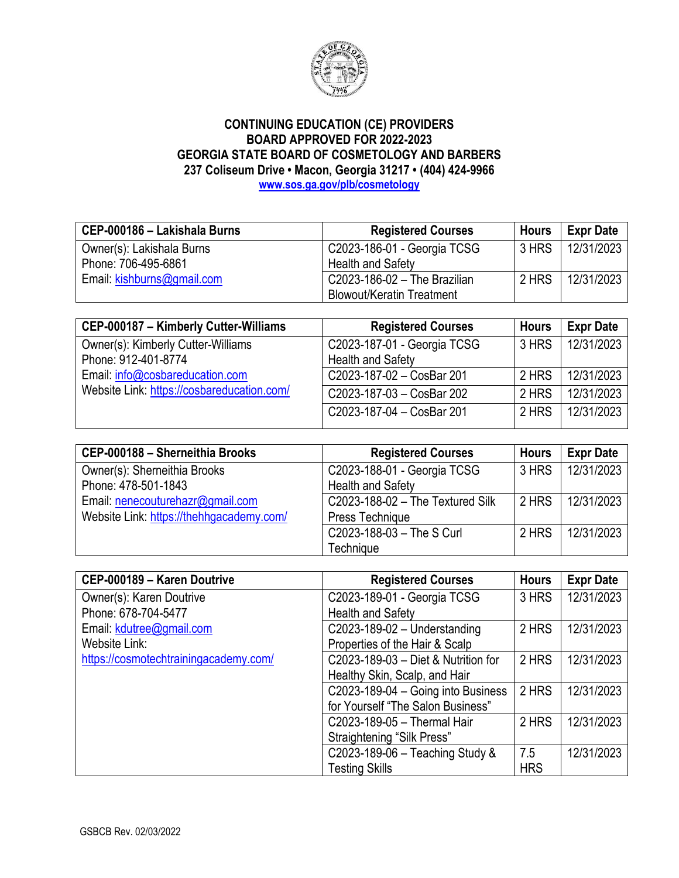

| CEP-000186 - Lakishala Burns | <b>Registered Courses</b>        | <b>Hours</b> | <b>Expr Date</b> |
|------------------------------|----------------------------------|--------------|------------------|
| Owner(s): Lakishala Burns    | C2023-186-01 - Georgia TCSG      | 3 HRS        | 12/31/2023       |
| Phone: 706-495-6861          | <b>Health and Safety</b>         |              |                  |
| Email: kishburns@gmail.com   | C2023-186-02 - The Brazilian     | 2 HRS        | 12/31/2023       |
|                              | <b>Blowout/Keratin Treatment</b> |              |                  |

| CEP-000187 - Kimberly Cutter-Williams      | <b>Registered Courses</b>   | <b>Hours</b> | <b>Expr Date</b> |
|--------------------------------------------|-----------------------------|--------------|------------------|
| Owner(s): Kimberly Cutter-Williams         | C2023-187-01 - Georgia TCSG | 3 HRS        | 12/31/2023       |
| Phone: 912-401-8774                        | <b>Health and Safety</b>    |              |                  |
| Email: info@cosbareducation.com            | C2023-187-02 - CosBar 201   | 2 HRS        | 12/31/2023       |
| Website Link: https://cosbareducation.com/ | C2023-187-03 - CosBar 202   | 2 HRS        | 12/31/2023       |
|                                            | C2023-187-04 - CosBar 201   | 2 HRS        | 12/31/2023       |

| CEP-000188 - Sherneithia Brooks          | <b>Registered Courses</b>          | <b>Hours</b> | <b>Expr Date</b> |
|------------------------------------------|------------------------------------|--------------|------------------|
| Owner(s): Sherneithia Brooks             | C2023-188-01 - Georgia TCSG        | 3 HRS        | 12/31/2023       |
| Phone: 478-501-1843                      | <b>Health and Safety</b>           |              |                  |
| Email: nenecouturehazr@gmail.com         | $C2023-188-02$ - The Textured Silk | 2 HRS        | 12/31/2023       |
| Website Link: https://thehhgacademy.com/ | Press Technique                    |              |                  |
|                                          | C2023-188-03 - The S Curl          | 2 HRS        | 12/31/2023       |
|                                          | Technique                          |              |                  |

| CEP-000189 - Karen Doutrive           | <b>Registered Courses</b>           | <b>Hours</b> | <b>Expr Date</b> |
|---------------------------------------|-------------------------------------|--------------|------------------|
| Owner(s): Karen Doutrive              | C2023-189-01 - Georgia TCSG         | 3 HRS        | 12/31/2023       |
| Phone: 678-704-5477                   | <b>Health and Safety</b>            |              |                  |
| Email: kdutree@gmail.com              | $C2023-189-02$ - Understanding      | 2 HRS        | 12/31/2023       |
| Website Link:                         | Properties of the Hair & Scalp      |              |                  |
| https://cosmotechtrainingacademy.com/ | C2023-189-03 - Diet & Nutrition for | 2 HRS        | 12/31/2023       |
|                                       | Healthy Skin, Scalp, and Hair       |              |                  |
|                                       | C2023-189-04 - Going into Business  | 2 HRS        | 12/31/2023       |
|                                       | for Yourself "The Salon Business"   |              |                  |
|                                       | C2023-189-05 - Thermal Hair         | 2 HRS        | 12/31/2023       |
|                                       | Straightening "Silk Press"          |              |                  |
|                                       | C2023-189-06 - Teaching Study &     | 7.5          | 12/31/2023       |
|                                       | <b>Testing Skills</b>               | <b>HRS</b>   |                  |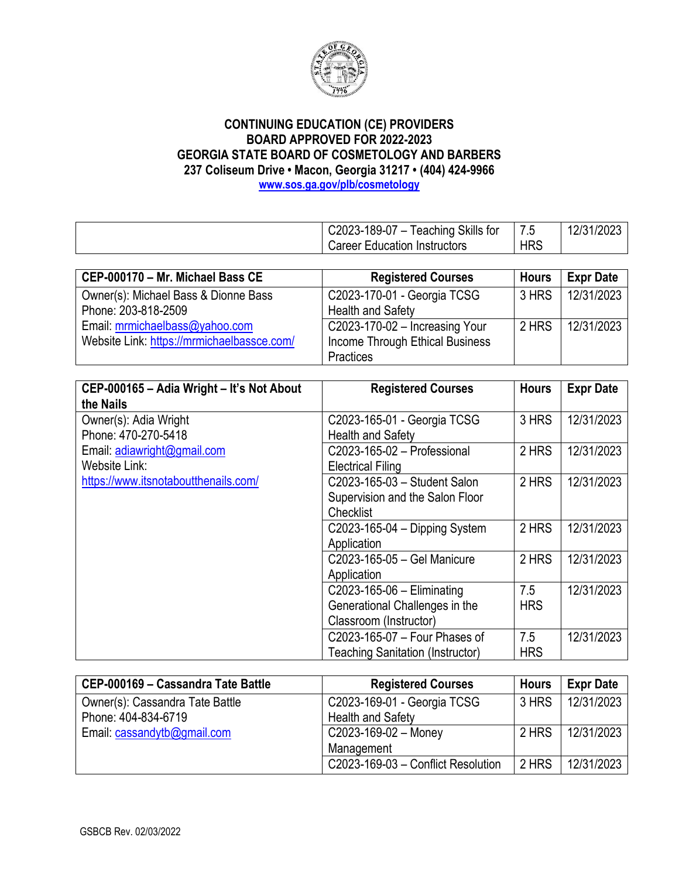

| $C2023-189-07-7$             | Teaching Skills for<br>$ -$<br>/ .5 | 12/31/2023 |
|------------------------------|-------------------------------------|------------|
| Career Education Instructors | <b>HRS</b>                          |            |

| CEP-000170 - Mr. Michael Bass CE           | <b>Registered Courses</b>        | <b>Hours</b> | <b>Expr Date</b> |
|--------------------------------------------|----------------------------------|--------------|------------------|
| Owner(s): Michael Bass & Dionne Bass       | C2023-170-01 - Georgia TCSG      | 3 HRS        | 12/31/2023       |
| Phone: 203-818-2509                        | <b>Health and Safety</b>         |              |                  |
| Email: mrmichaelbass@yahoo.com             | $C2023-170-02$ – Increasing Your | 2 HRS        | 12/31/2023       |
| Website Link: https://mrmichaelbassce.com/ | Income Through Ethical Business  |              |                  |
|                                            | Practices                        |              |                  |

| CEP-000165 - Adia Wright - It's Not About | <b>Registered Courses</b>               | <b>Hours</b> | <b>Expr Date</b> |
|-------------------------------------------|-----------------------------------------|--------------|------------------|
| the Nails                                 |                                         |              |                  |
| Owner(s): Adia Wright                     | C2023-165-01 - Georgia TCSG             | 3 HRS        | 12/31/2023       |
| Phone: 470-270-5418                       | <b>Health and Safety</b>                |              |                  |
| Email: adiawright@gmail.com               | C2023-165-02 - Professional             | 2 HRS        | 12/31/2023       |
| Website Link:                             | <b>Electrical Filing</b>                |              |                  |
| https://www.itsnotaboutthenails.com/      | C2023-165-03 - Student Salon            | 2 HRS        | 12/31/2023       |
|                                           | Supervision and the Salon Floor         |              |                  |
|                                           | <b>Checklist</b>                        |              |                  |
|                                           | $C2023-165-04 - Dipping System$         | 2 HRS        | 12/31/2023       |
|                                           | Application                             |              |                  |
|                                           | C2023-165-05 - Gel Manicure             | 2 HRS        | 12/31/2023       |
|                                           | Application                             |              |                  |
|                                           | C2023-165-06 - Eliminating              | 7.5          | 12/31/2023       |
|                                           | Generational Challenges in the          | <b>HRS</b>   |                  |
|                                           | Classroom (Instructor)                  |              |                  |
|                                           | C2023-165-07 - Four Phases of           | 7.5          | 12/31/2023       |
|                                           | <b>Teaching Sanitation (Instructor)</b> | <b>HRS</b>   |                  |

| CEP-000169 - Cassandra Tate Battle | <b>Registered Courses</b>          | <b>Hours</b> | <b>Expr Date</b> |
|------------------------------------|------------------------------------|--------------|------------------|
| Owner(s): Cassandra Tate Battle    | C2023-169-01 - Georgia TCSG        | 3 HRS        | 12/31/2023       |
| Phone: 404-834-6719                | <b>Health and Safety</b>           |              |                  |
| Email: cassandytb@gmail.com        | $C2023-169-02$ – Money             | 2 HRS        | 12/31/2023       |
|                                    | Management                         |              |                  |
|                                    | C2023-169-03 - Conflict Resolution | 2 HRS        | 12/31/2023       |